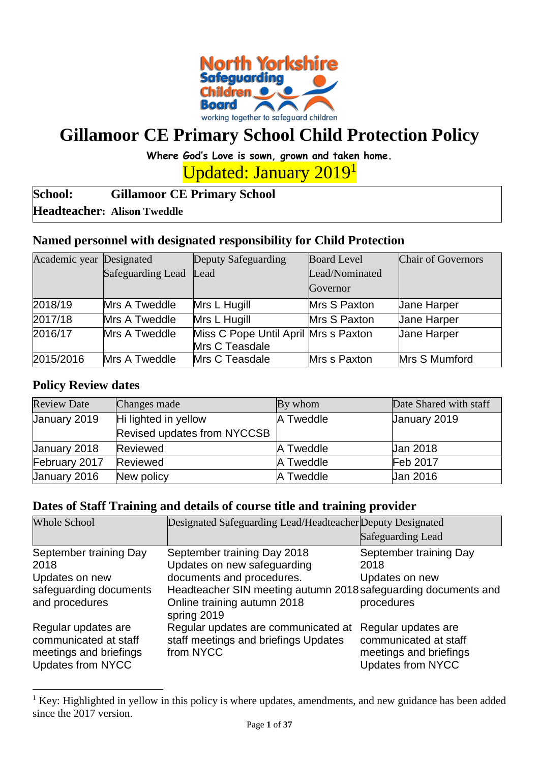

# **Gillamoor CE Primary School Child Protection Policy**

**Where God's Love is sown, grown and taken home.**

Updated: January 2019<sup>1</sup>

**School: Gillamoor CE Primary School**

**Headteacher: Alison Tweddle**

# **Named personnel with designated responsibility for Child Protection**

| Academic year Designated |                        | Deputy Safeguarding                  | <b>Board Level</b> | <b>Chair of Governors</b> |
|--------------------------|------------------------|--------------------------------------|--------------------|---------------------------|
|                          | Safeguarding Lead Lead |                                      | Lead/Nominated     |                           |
|                          |                        |                                      | Governor           |                           |
| 2018/19                  | Mrs A Tweddle          | Mrs L Hugill                         | Mrs S Paxton       | <b>Jane Harper</b>        |
| 2017/18                  | Mrs A Tweddle          | Mrs L Hugill                         | Mrs S Paxton       | <b>Jane Harper</b>        |
| 2016/17                  | Mrs A Tweddle          | Miss C Pope Until April Mrs s Paxton |                    | <b>Jane Harper</b>        |
|                          |                        | Mrs C Teasdale                       |                    |                           |
| 2015/2016                | Mrs A Tweddle          | Mrs C Teasdale                       | Mrs s Paxton       | Mrs S Mumford             |

# **Policy Review dates**

 $\overline{a}$ 

| <b>Review Date</b> | Changes made                | By whom   | Date Shared with staff |
|--------------------|-----------------------------|-----------|------------------------|
| January 2019       | Hi lighted in yellow        | A Tweddle | January 2019           |
|                    | Revised updates from NYCCSB |           |                        |
| January 2018       | <b>Reviewed</b>             | A Tweddle | <b>Jan 2018</b>        |
| February 2017      | <b>Reviewed</b>             | A Tweddle | <b>Feb 2017</b>        |
| January 2016       | New policy                  | A Tweddle | Jan 2016               |

# **Dates of Staff Training and details of course title and training provider**

| <b>Whole School</b>                                                                                | Designated Safeguarding Lead/Headteacher Deputy Designated                               |                                                                                                    |
|----------------------------------------------------------------------------------------------------|------------------------------------------------------------------------------------------|----------------------------------------------------------------------------------------------------|
|                                                                                                    |                                                                                          | Safeguarding Lead                                                                                  |
| September training Day                                                                             | September training Day 2018                                                              | September training Day                                                                             |
| 2018                                                                                               | Updates on new safeguarding                                                              | 2018                                                                                               |
| Updates on new                                                                                     | documents and procedures.                                                                | Updates on new                                                                                     |
| safeguarding documents                                                                             | Headteacher SIN meeting autumn 2018 safeguarding documents and                           |                                                                                                    |
| and procedures                                                                                     | Online training autumn 2018<br>spring 2019                                               | procedures                                                                                         |
| Regular updates are<br>communicated at staff<br>meetings and briefings<br><b>Updates from NYCC</b> | Regular updates are communicated at<br>staff meetings and briefings Updates<br>from NYCC | Regular updates are<br>communicated at staff<br>meetings and briefings<br><b>Updates from NYCC</b> |

<sup>&</sup>lt;sup>1</sup> Key: Highlighted in yellow in this policy is where updates, amendments, and new guidance has been added since the 2017 version.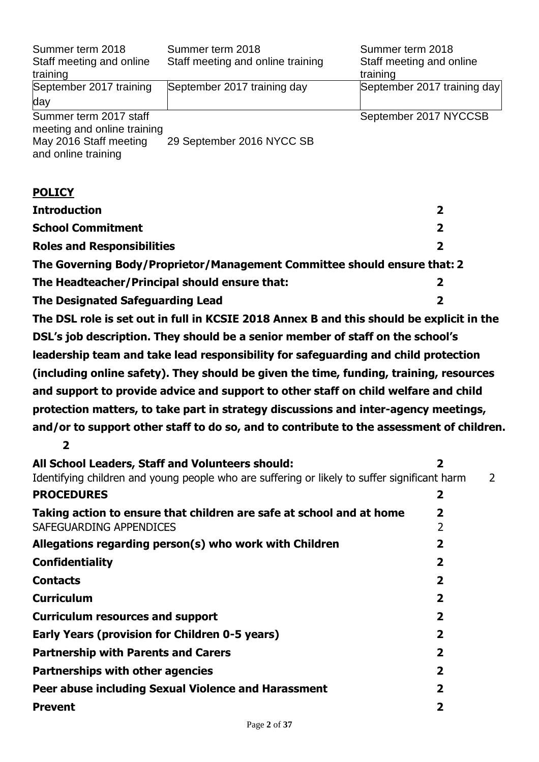| Summer term 2018<br>Staff meeting and online<br>training                                               | Summer term 2018<br>Staff meeting and online training | Summer term 2018<br>Staff meeting and online<br>training |
|--------------------------------------------------------------------------------------------------------|-------------------------------------------------------|----------------------------------------------------------|
| September 2017 training<br>day                                                                         | September 2017 training day                           | September 2017 training day                              |
| Summer term 2017 staff<br>meeting and online training<br>May 2016 Staff meeting<br>and online training | 29 September 2016 NYCC SB                             | September 2017 NYCCSB                                    |
| <b>POLICY</b>                                                                                          |                                                       |                                                          |
| <b>Introduction</b>                                                                                    |                                                       | 2                                                        |
|                                                                                                        |                                                       |                                                          |

| <b>School Commitment</b>                                                 |              |
|--------------------------------------------------------------------------|--------------|
| <b>Roles and Responsibilities</b>                                        | $\mathbf{z}$ |
| The Governing Body/Proprietor/Management Committee should ensure that: 2 |              |
| The Headteacher/Principal should ensure that:                            | $\mathbf{z}$ |
| <b>The Designated Safeguarding Lead</b>                                  | <u>ר</u>     |

**The DSL role is set out in full in KCSIE 2018 Annex B and this should be explicit in the DSL's job description. They should be a senior member of staff on the school's leadership team and take lead responsibility for safeguarding and child protection (including online safety). They should be given the time, funding, training, resources and support to provide advice and support to other staff on child welfare and child protection matters, to take part in strategy discussions and inter-agency meetings, and/or to support other staff to do so, and to contribute to the assessment of children. 2**

| All School Leaders, Staff and Volunteers should:                                             | 2                       |                |
|----------------------------------------------------------------------------------------------|-------------------------|----------------|
| Identifying children and young people who are suffering or likely to suffer significant harm |                         | $\overline{2}$ |
| <b>PROCEDURES</b>                                                                            | 2                       |                |
| Taking action to ensure that children are safe at school and at home                         | $\overline{\mathbf{2}}$ |                |
| SAFEGUARDING APPENDICES                                                                      | 2                       |                |
| Allegations regarding person(s) who work with Children                                       | 2                       |                |
| <b>Confidentiality</b>                                                                       | 2                       |                |
| <b>Contacts</b>                                                                              | 2                       |                |
| <b>Curriculum</b>                                                                            | 2                       |                |
| <b>Curriculum resources and support</b>                                                      | $\overline{\mathbf{2}}$ |                |
| <b>Early Years (provision for Children 0-5 years)</b>                                        | 2                       |                |
| <b>Partnership with Parents and Carers</b>                                                   | 2                       |                |
| Partnerships with other agencies                                                             | 2                       |                |
| Peer abuse including Sexual Violence and Harassment                                          | 2                       |                |
| <b>Prevent</b>                                                                               | 2                       |                |
| Page 2 of 37                                                                                 |                         |                |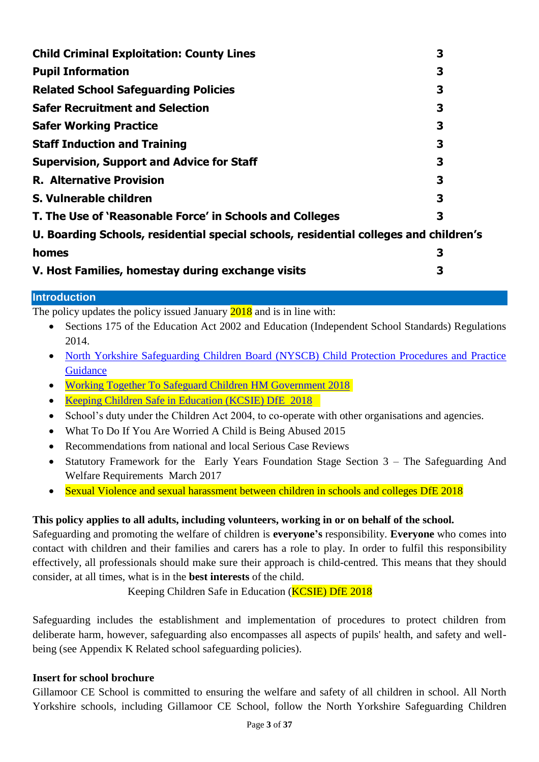| <b>Child Criminal Exploitation: County Lines</b>                                      | 3 |
|---------------------------------------------------------------------------------------|---|
| <b>Pupil Information</b>                                                              | 3 |
| <b>Related School Safeguarding Policies</b>                                           | 3 |
| <b>Safer Recruitment and Selection</b>                                                | 3 |
| <b>Safer Working Practice</b>                                                         | 3 |
| <b>Staff Induction and Training</b>                                                   | 3 |
| <b>Supervision, Support and Advice for Staff</b>                                      | 3 |
| <b>R. Alternative Provision</b>                                                       | 3 |
| S. Vulnerable children                                                                | 3 |
| T. The Use of 'Reasonable Force' in Schools and Colleges                              | 3 |
| U. Boarding Schools, residential special schools, residential colleges and children's |   |
| homes                                                                                 | 3 |
| V. Host Families, homestay during exchange visits                                     | 3 |

#### **Introduction**

The policy updates the policy issued January 2018 and is in line with:

- Sections 175 of the Education Act 2002 and Education (Independent School Standards) Regulations 2014.
- North Yorkshire Safeguarding Children Board (NYSCB) Child Protection Procedures and Practice **[Guidance](http://www.safeguardingchildren.co.uk/)**
- [Working Together To Safeguard Children](https://www.gov.uk/government/publications/working-together-to-safeguard-children--2) HM Government 2018
- [Keeping Children Safe in Education](https://www.gov.uk/government/publications/keeping-children-safe-in-education--2) (KCSIE) DfE 2018
- School's duty under the Children Act 2004, to co-operate with other organisations and agencies.
- What To Do If You Are Worried A Child is Being Abused 2015
- Recommendations from national and local Serious Case Reviews
- Statutory Framework for the Early Years Foundation Stage Section 3 The Safeguarding And Welfare Requirements March 2017
- Sexual Violence and sexual harassment between children in schools and colleges DfE 2018

# **This policy applies to all adults, including volunteers, working in or on behalf of the school.**

Safeguarding and promoting the welfare of children is **everyone's** responsibility. **Everyone** who comes into contact with children and their families and carers has a role to play. In order to fulfil this responsibility effectively, all professionals should make sure their approach is child-centred. This means that they should consider, at all times, what is in the **best interests** of the child.

Keeping Children Safe in Education (KCSIE) DfE 2018

Safeguarding includes the establishment and implementation of procedures to protect children from deliberate harm, however, safeguarding also encompasses all aspects of pupils' health, and safety and wellbeing (see Appendix K Related school safeguarding policies).

#### **Insert for school brochure**

Gillamoor CE School is committed to ensuring the welfare and safety of all children in school. All North Yorkshire schools, including Gillamoor CE School, follow the North Yorkshire Safeguarding Children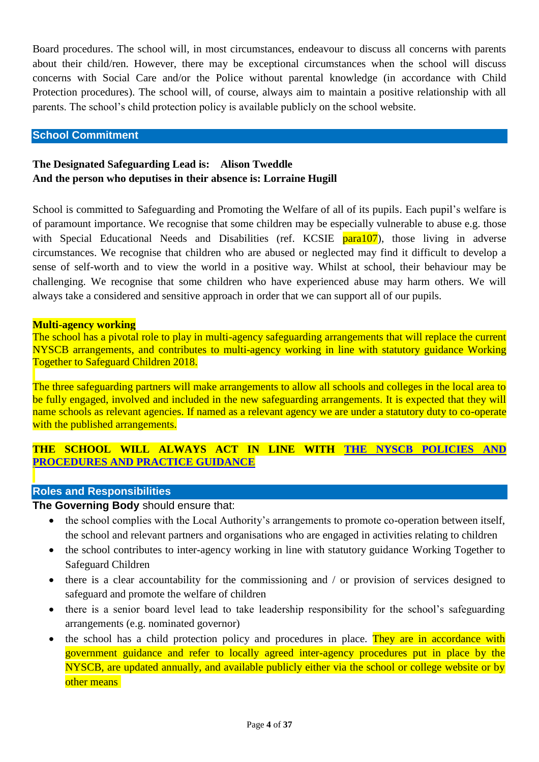Board procedures. The school will, in most circumstances, endeavour to discuss all concerns with parents about their child/ren. However, there may be exceptional circumstances when the school will discuss concerns with Social Care and/or the Police without parental knowledge (in accordance with Child Protection procedures). The school will, of course, always aim to maintain a positive relationship with all parents. The school's child protection policy is available publicly on the school website.

#### **School Commitment**

# **The Designated Safeguarding Lead is: Alison Tweddle And the person who deputises in their absence is: Lorraine Hugill**

School is committed to Safeguarding and Promoting the Welfare of all of its pupils. Each pupil's welfare is of paramount importance. We recognise that some children may be especially vulnerable to abuse e.g. those with Special Educational Needs and Disabilities (ref. KCSIE para107), those living in adverse circumstances. We recognise that children who are abused or neglected may find it difficult to develop a sense of self-worth and to view the world in a positive way. Whilst at school, their behaviour may be challenging. We recognise that some children who have experienced abuse may harm others. We will always take a considered and sensitive approach in order that we can support all of our pupils.

#### **Multi-agency working**

The school has a pivotal role to play in multi-agency safeguarding arrangements that will replace the current NYSCB arrangements, and contributes to multi-agency working in line with statutory guidance Working Together to Safeguard Children 2018.

The three safeguarding partners will make arrangements to allow all schools and colleges in the local area to be fully engaged, involved and included in the new safeguarding arrangements. It is expected that they will name schools as relevant agencies. If named as a relevant agency we are under a statutory duty to co-operate with the published arrangements.

#### **THE SCHOOL WILL ALWAYS ACT IN LINE WITH [THE NYSCB POLICIES AND](http://www.safeguardingchildren.co.uk/)  [PROCEDURES AND PRACTICE GUIDANCE](http://www.safeguardingchildren.co.uk/)**

#### **Roles and Responsibilities**

#### **The Governing Body** should ensure that:

- the school complies with the Local Authority's arrangements to promote co-operation between itself, the school and relevant partners and organisations who are engaged in activities relating to children
- the school contributes to inter-agency working in line with statutory guidance Working Together to [Safeguard](https://www.gov.uk/government/publications/working-together-to-safeguard-children--2) Children
- there is a clear accountability for the commissioning and / or provision of services designed to safeguard and promote the welfare of children
- there is a senior board level lead to take leadership responsibility for the school's safeguarding arrangements (e.g. nominated governor)
- the school has a child protection policy and procedures in place. They are in accordance with government guidance and refer to locally agreed inter-agency procedures put in place by the NYSCB, are updated annually, and available publicly either via the school or college website or by other means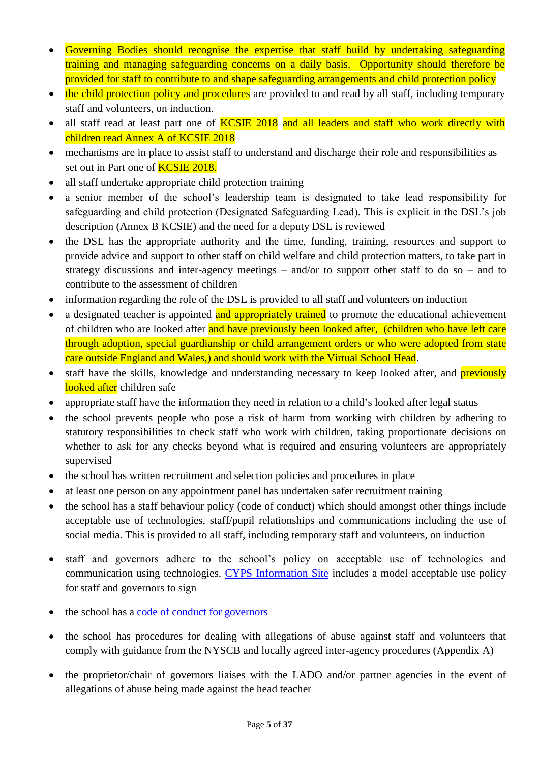- Governing Bodies should recognise the expertise that staff build by undertaking safeguarding training and managing safeguarding concerns on a daily basis. Opportunity should therefore be provided for staff to contribute to and shape safeguarding arrangements and child protection policy
- the child protection policy and procedures are provided to and read by all staff, including temporary staff and volunteers, on induction.
- all staff read at least part one of **KCSIE 2018** and all leaders and staff who work directly with children read Annex A of KCSIE 2018
- mechanisms are in place to assist staff to understand and discharge their role and responsibilities as set out in Part one of **KCSIE 2018.**
- all staff undertake appropriate child protection training
- a senior member of the school's leadership team is designated to take lead responsibility for safeguarding and child protection (Designated Safeguarding Lead). This is explicit in the DSL's job description (Annex B KCSIE) and the need for a deputy DSL is reviewed
- the DSL has the appropriate authority and the time, funding, training, resources and support to provide advice and support to other staff on child welfare and child protection matters, to take part in strategy discussions and inter-agency meetings – and/or to support other staff to do so – and to contribute to the assessment of children
- information regarding the role of the DSL is provided to all staff and volunteers on induction
- a designated teacher is appointed and appropriately trained to promote the educational achievement of children who are looked after and have previously been looked after, (children who have left care through adoption, special guardianship or child arrangement orders or who were adopted from state care outside England and Wales,) and should work with the Virtual School Head.
- staff have the skills, knowledge and understanding necessary to keep looked after, and **previously** looked after children safe
- appropriate staff have the information they need in relation to a child's looked after legal status
- the school prevents people who pose a risk of harm from working with children by adhering to statutory responsibilities to check staff who work with children, taking proportionate decisions on whether to ask for any checks beyond what is required and ensuring volunteers are appropriately supervised
- the school has written recruitment and selection policies and procedures in place
- at least one person on any appointment panel has undertaken safer recruitment training
- the school has a staff behaviour policy (code of conduct) which should amongst other things include acceptable use of technologies, staff/pupil relationships and communications including the use of social media. This is provided to all staff, including temporary staff and volunteers, on induction
- staff and governors adhere to the school's policy on acceptable use of technologies and communication using technologies. [CYPS Information Site](http://cyps.northyorks.gov.uk/) includes a model acceptable use policy for staff and governors to sign
- the school has a [code of conduct for governors](https://www.nga.org.uk/codeofconduct2017)
- the school has procedures for dealing with allegations of abuse against staff and volunteers that comply with guidance from the NYSCB and locally agreed inter-agency procedures (Appendix A)
- the proprietor/chair of governors liaises with the LADO and/or partner agencies in the event of allegations of abuse being made against the head teacher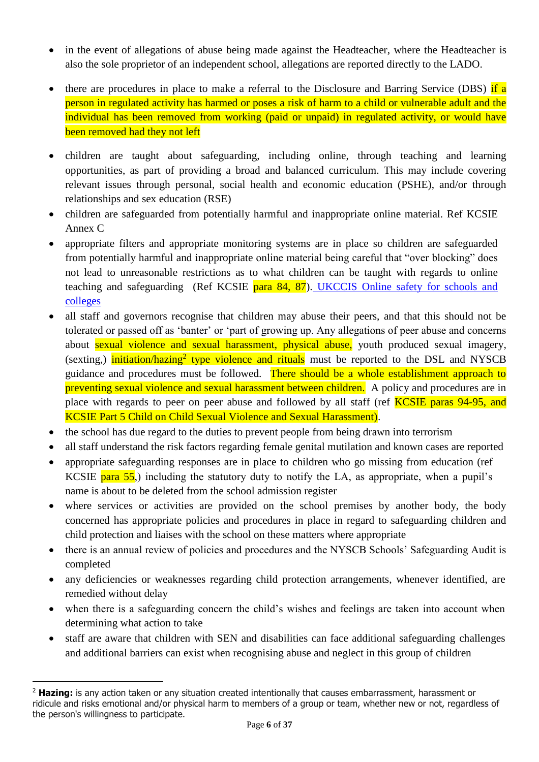- in the event of allegations of abuse being made against the Headteacher, where the Headteacher is also the sole proprietor of an independent school, allegations are reported directly to the LADO.
- there are procedures in place to make a referral to the Disclosure and Barring Service (DBS) if a person in regulated activity has harmed or poses a risk of harm to a child or vulnerable adult and the individual has been removed from working (paid or unpaid) in regulated activity, or would have been removed had they not left
- children are taught about safeguarding, including online, through teaching and learning opportunities, as part of providing a broad and balanced curriculum. This may include covering relevant issues through personal, social health and economic education (PSHE), and/or through relationships and sex education (RSE)
- children are safeguarded from potentially harmful and inappropriate online material. Ref KCSIE Annex C
- appropriate filters and appropriate monitoring systems are in place so children are safeguarded from potentially harmful and inappropriate online material being careful that "over blocking" does not lead to unreasonable restrictions as to what children can be taught with regards to online teaching and safeguarding (Ref KCSIE para 84, 87). [UKCCIS Online safety for schools and](https://www.gov.uk/government/uploads/system/uploads/attachment_data/file/562876/Guidance_for_School_Governors_-_Question_list.pdf)  [colleges](https://www.gov.uk/government/uploads/system/uploads/attachment_data/file/562876/Guidance_for_School_Governors_-_Question_list.pdf)
- all staff and governors recognise that children may abuse their peers, and that this should not be tolerated or passed off as 'banter' or 'part of growing up. Any allegations of peer abuse and concerns about **sexual violence and sexual harassment, physical abuse**, youth produced sexual imagery, (sexting,) initiation/hazing<sup>2</sup> type violence and rituals must be reported to the DSL and NYSCB guidance and procedures must be followed. There should be a whole establishment approach to preventing sexual violence and sexual harassment between children. A policy and procedures are in place with regards to peer on peer abuse and followed by all staff (ref **KCSIE paras 94-95, and** KCSIE Part 5 Child on Child Sexual Violence and Sexual Harassment).
- the school has due regard to the duties to prevent people from being drawn into terrorism
- all staff understand the risk factors regarding female genital mutilation and known cases are reported
- appropriate safeguarding responses are in place to children who go missing from education (ref KCSIE  $\overline{para}$  55,) including the statutory duty to notify the LA, as appropriate, when a pupil's name is about to be deleted from the school admission register
- where services or activities are provided on the school premises by another body, the body concerned has appropriate policies and procedures in place in regard to safeguarding children and child protection and liaises with the school on these matters where appropriate
- there is an annual review of policies and procedures and the NYSCB Schools' Safeguarding Audit is completed
- any deficiencies or weaknesses regarding child protection arrangements, whenever identified, are remedied without delay
- when there is a safeguarding concern the child's wishes and feelings are taken into account when determining what action to take
- staff are aware that children with SEN and disabilities can face additional safeguarding challenges and additional barriers can exist when recognising abuse and neglect in this group of children

 $\overline{a}$ 

<sup>2</sup> **Hazing:** is any action taken or any situation created intentionally that causes embarrassment, harassment or ridicule and risks emotional and/or physical harm to members of a group or team, whether new or not, regardless of the person's willingness to participate.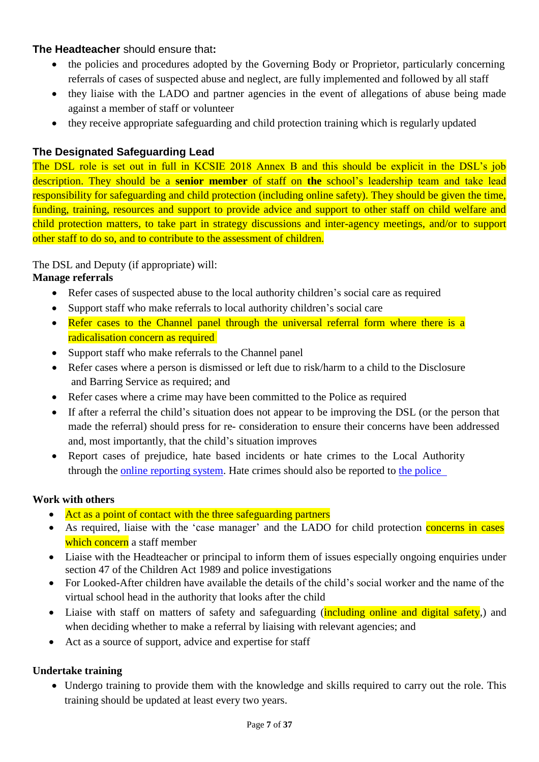# **The Headteacher** should ensure that**:**

- the policies and procedures adopted by the Governing Body or Proprietor, particularly concerning referrals of cases of suspected abuse and neglect, are fully implemented and followed by all staff
- they liaise with the LADO and partner agencies in the event of allegations of abuse being made against a member of staff or volunteer
- they receive appropriate safeguarding and child protection training which is regularly updated

# **The Designated Safeguarding Lead**

The DSL role is set out in full in KCSIE 2018 Annex B and this should be explicit in the DSL's job description. They should be a **senior member** of staff on **the** school's leadership team and take lead responsibility for safeguarding and child protection (including online safety). They should be given the time, funding, training, resources and support to provide advice and support to other staff on child welfare and child protection matters, to take part in strategy discussions and inter-agency meetings, and/or to support other staff to do so, and to contribute to the assessment of children.

The DSL and Deputy (if appropriate) will:

# **Manage referrals**

- Refer cases of suspected abuse to the local authority children's social care as required
- Support staff who make referrals to local authority children's social care
- Refer cases to the Channel panel through the universal referral form where there is a radicalisation concern as required
- Support staff who make referrals to the Channel panel
- Refer cases where a person is dismissed or left due to risk/harm to a child to the Disclosure and Barring Service as required; and
- Refer cases where a crime may have been committed to the Police as required
- If after a referral the child's situation does not appear to be improving the DSL (or the person that made the referral) should press for re- consideration to ensure their concerns have been addressed and, most importantly, that the child's situation improves
- Report cases of prejudice, hate based incidents or hate crimes to the Local Authority through the **online reporting system**. Hate crimes should also be reported to the police

#### **Work with others**

- Act as a point of contact with the three safeguarding partners
- As required, liaise with the 'case manager' and the LADO for child protection concerns in cases which concern a staff member
- Liaise with the Headteacher or principal to inform them of issues especially ongoing enquiries under section 47 of the Children Act 1989 and police investigations
- For Looked-After children have available the details of the child's social worker and the name of the virtual school head in the authority that looks after the child
- Liaise with staff on matters of safety and safeguarding (including online and digital safety,) and when deciding whether to make a referral by liaising with relevant agencies; and
- Act as a source of support, advice and expertise for staff

#### **Undertake training**

 Undergo training to provide them with the knowledge and skills required to carry out the role. This training should be updated at least every two years.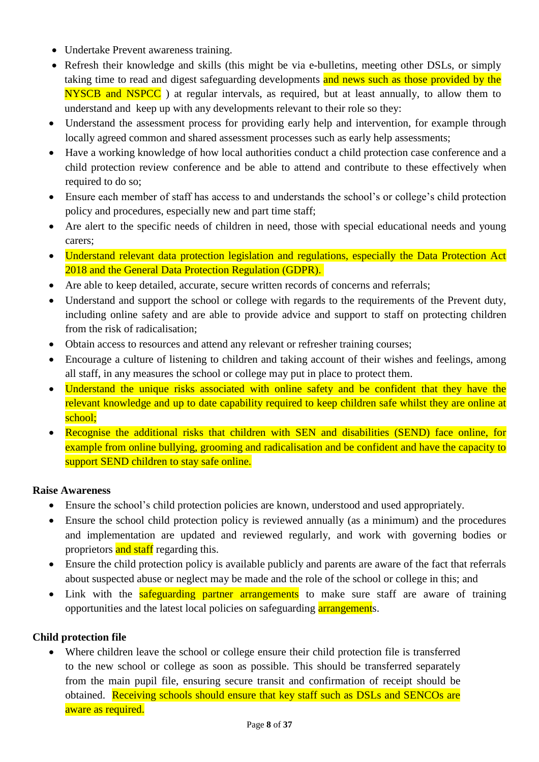- Undertake Prevent awareness training.
- Refresh their knowledge and skills (this might be via e-bulletins, meeting other DSLs, or simply taking time to read and digest safeguarding developments and news such as those provided by the NYSCB and NSPCC ) at regular intervals, as required, but at least annually, to allow them to understand and keep up with any developments relevant to their role so they:
- Understand the assessment process for providing early help and intervention, for example through locally agreed common and shared assessment processes such as early help assessments;
- Have a working knowledge of how local authorities conduct a child protection case conference and a child protection review conference and be able to attend and contribute to these effectively when required to do so;
- Ensure each member of staff has access to and understands the school's or college's child protection policy and procedures, especially new and part time staff;
- Are alert to the specific needs of children in need, those with special educational needs and young carers;
- Understand relevant data protection legislation and regulations, especially the Data Protection Act 2018 and the General Data Protection Regulation (GDPR).
- Are able to keep detailed, accurate, secure written records of concerns and referrals;
- Understand and support the school or college with regards to the requirements of the Prevent duty, including online safety and are able to provide advice and support to staff on protecting children from the risk of radicalisation;
- Obtain access to resources and attend any relevant or refresher training courses;
- Encourage a culture of listening to children and taking account of their wishes and feelings, among all staff, in any measures the school or college may put in place to protect them.
- Understand the unique risks associated with online safety and be confident that they have the relevant knowledge and up to date capability required to keep children safe whilst they are online at school;
- Recognise the additional risks that children with SEN and disabilities (SEND) face online, for example from online bullying, grooming and radicalisation and be confident and have the capacity to support SEND children to stay safe online.

# **Raise Awareness**

- Ensure the school's child protection policies are known, understood and used appropriately.
- Ensure the school child protection policy is reviewed annually (as a minimum) and the procedures and implementation are updated and reviewed regularly, and work with governing bodies or proprietors and staff regarding this.
- Ensure the child protection policy is available publicly and parents are aware of the fact that referrals about suspected abuse or neglect may be made and the role of the school or college in this; and
- Link with the **safeguarding partner arrangements** to make sure staff are aware of training opportunities and the latest local policies on safeguarding arrangements.

# **Child protection file**

 Where children leave the school or college ensure their child protection file is transferred to the new school or college as soon as possible. This should be transferred separately from the main pupil file, ensuring secure transit and confirmation of receipt should be obtained. Receiving schools should ensure that key staff such as DSLs and SENCOs are aware as required.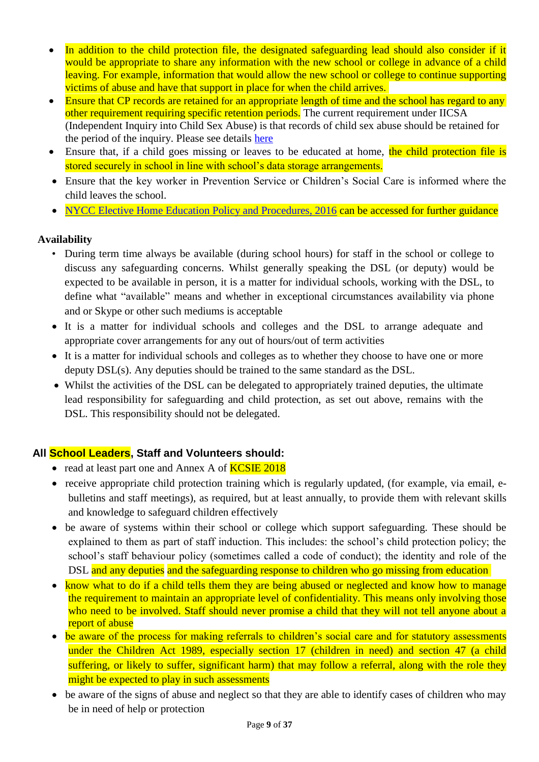- In addition to the child protection file, the designated safeguarding lead should also consider if it would be appropriate to share any information with the new school or college in advance of a child leaving. For example, information that would allow the new school or college to continue supporting victims of abuse and have that support in place for when the child arrives.
- Ensure that CP records are retained for an appropriate length of time and the school has regard to any other requirement requiring specific retention periods. The current requirement under IICSA (Independent Inquiry into Child Sex Abuse) is that records of child sex abuse should be retained for the period of the inquiry. Please see details [here](https://www.iicsa.org.uk/letter-to-local-authority-ceos)
- Ensure that, if a child goes missing or leaves to be educated at home, the child protection file is stored securely in school in line with school's data storage arrangements.
- Ensure that the key worker in Prevention Service or Children's Social Care is informed where the child leaves the school.
- [NYCC Elective Home Education Policy and Procedures, 2016](http://cyps.northyorks.gov.uk/sites/default/files/Children%20and%20family%20support/Elective%20Home%20Education/Elective_home_education_policy_and_procedures.pdf) can be accessed for further guidance

## **Availability**

- During term time always be available (during school hours) for staff in the school or college to discuss any safeguarding concerns. Whilst generally speaking the DSL (or deputy) would be expected to be available in person, it is a matter for individual schools, working with the DSL, to define what "available" means and whether in exceptional circumstances availability via phone and or Skype or other such mediums is acceptable
- It is a matter for individual schools and colleges and the DSL to arrange adequate and appropriate cover arrangements for any out of hours/out of term activities
- It is a matter for individual schools and colleges as to whether they choose to have one or more deputy DSL(s). Any deputies should be trained to the same standard as the DSL.
- Whilst the activities of the DSL can be delegated to appropriately trained deputies, the ultimate lead responsibility for safeguarding and child protection, as set out above, remains with the DSL. This responsibility should not be delegated.

# **All School Leaders, Staff and Volunteers should:**

- read at least part one and Annex A of **KCSIE 2018**
- receive appropriate child protection training which is regularly updated, (for example, via email, ebulletins and staff meetings), as required, but at least annually, to provide them with relevant skills and knowledge to safeguard children effectively
- be aware of systems within their school or college which support safeguarding. These should be explained to them as part of staff induction. This includes: the school's child protection policy; the school's staff behaviour policy (sometimes called a code of conduct); the identity and role of the DSL and any deputies and the safeguarding response to children who go missing from education
- know what to do if a child tells them they are being abused or neglected and know how to manage the requirement to maintain an appropriate level of confidentiality. This means only involving those who need to be involved. Staff should never promise a child that they will not tell anyone about a report of abuse
- be aware of the process for making referrals to children's social care and for statutory assessments under the Children Act 1989, especially section 17 (children in need) and section 47 (a child suffering, or likely to suffer, significant harm) that may follow a referral, along with the role they might be expected to play in such assessments
- be aware of the signs of abuse and neglect so that they are able to identify cases of children who may be in need of help or protection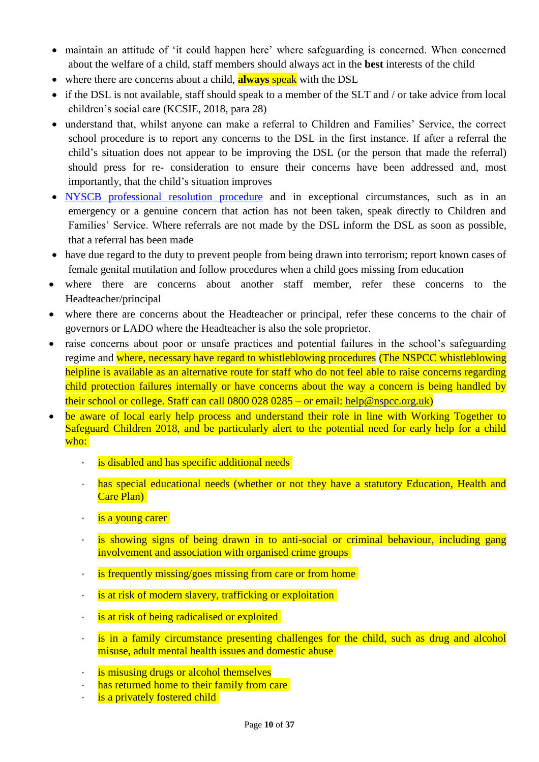- maintain an attitude of 'it could happen here' where safeguarding is concerned. When concerned about the welfare of a child, staff members should always act in the **best** interests of the child
- where there are concerns about a child, **always** speak with the DSL
- if the DSL is not available, staff should speak to a member of the SLT and / or take advice from local children's social care (KCSIE, 2018, para 28)
- understand that, whilst anyone can make a referral to Children and Families' Service, the correct school procedure is to report any concerns to the DSL in the first instance. If after a referral the child's situation does not appear to be improving the DSL (or the person that made the referral) should press for re- consideration to ensure their concerns have been addressed and, most importantly, that the child's situation improves
- [NYSCB professional resolution procedure](http://www.safeguardingchildren.co.uk/professionals/professional-resolutions) and in exceptional circumstances, such as in an emergency or a genuine concern that action has not been taken, speak directly to Children and Families' Service. Where referrals are not made by the DSL inform the DSL as soon as possible, that a referral has been made
- have due regard to the duty to prevent people from being drawn into terrorism; report known cases of female genital mutilation and follow procedures when a child goes missing from education
- where there are concerns about another staff member, refer these concerns to the Headteacher/principal
- where there are concerns about the Headteacher or principal, refer these concerns to the chair of governors or LADO where the Headteacher is also the sole proprietor.
- raise concerns about poor or unsafe practices and potential failures in the school's safeguarding regime and where, necessary have regard to whistleblowing procedures (The NSPCC whistleblowing helpline is available as an alternative route for staff who do not feel able to raise concerns regarding child protection failures internally or have concerns about the way a concern is being handled by their school or college. Staff can call 0800 028 0285 – or email: [help@nspcc.org.uk\)](mailto:help@nspcc.org.uk)
- be aware of local early help process and understand their role in line with Working Together to Safeguard Children 2018, and be particularly alert to the potential need for early help for a child who:
	- · is disabled and has specific additional needs
	- · has special educational needs (whether or not they have a statutory Education, Health and Care Plan)
	- is a young carer
	- · is showing signs of being drawn in to anti-social or criminal behaviour, including gang involvement and association with organised crime groups
	- is frequently missing/goes missing from care or from home
	- · is at risk of modern slavery, trafficking or exploitation
	- · is at risk of being radicalised or exploited
	- · is in a family circumstance presenting challenges for the child, such as drug and alcohol misuse, adult mental health issues and domestic abuse
	- · is misusing drugs or alcohol themselves
	- has returned home to their family from care
	- is a privately fostered child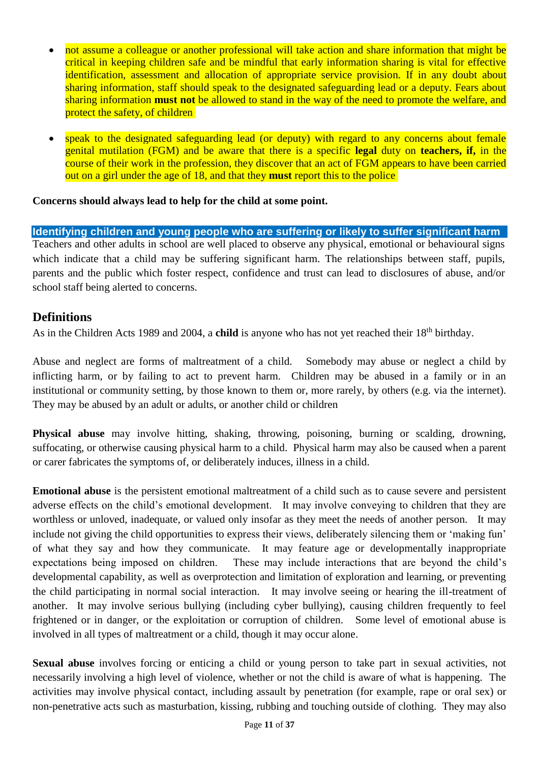- not assume a colleague or another professional will take action and share information that might be critical in keeping children safe and be mindful that early information sharing is vital for effective identification, assessment and allocation of appropriate service provision. If in any doubt about sharing information, staff should speak to the designated safeguarding lead or a deputy. Fears about sharing information **must not** be allowed to stand in the way of the need to promote the welfare, and protect the safety, of children
- speak to the designated safeguarding lead (or deputy) with regard to any concerns about female genital mutilation (FGM) and be aware that there is a specific **legal** duty on **teachers, if,** in the course of their work in the profession, they discover that an act of FGM appears to have been carried out on a girl under the age of 18, and that they **must** report this to the police

#### **Concerns should always lead to help for the child at some point.**

**Identifying children and young people who are suffering or likely to suffer significant harm** Teachers and other adults in school are well placed to observe any physical, emotional or behavioural signs which indicate that a child may be suffering significant harm. The relationships between staff, pupils, parents and the public which foster respect, confidence and trust can lead to disclosures of abuse, and/or school staff being alerted to concerns.

# **Definitions**

As in the Children Acts 1989 and 2004, a **child** is anyone who has not yet reached their 18<sup>th</sup> birthday.

Abuse and neglect are forms of maltreatment of a child. Somebody may abuse or neglect a child by inflicting harm, or by failing to act to prevent harm. Children may be abused in a family or in an institutional or community setting, by those known to them or, more rarely, by others (e.g. via the internet). They may be abused by an adult or adults, or another child or children

**Physical abuse** may involve hitting, shaking, throwing, poisoning, burning or scalding, drowning, suffocating, or otherwise causing physical harm to a child. Physical harm may also be caused when a parent or carer fabricates the symptoms of, or deliberately induces, illness in a child.

**Emotional abuse** is the persistent emotional maltreatment of a child such as to cause severe and persistent adverse effects on the child's emotional development. It may involve conveying to children that they are worthless or unloved, inadequate, or valued only insofar as they meet the needs of another person. It may include not giving the child opportunities to express their views, deliberately silencing them or 'making fun' of what they say and how they communicate. It may feature age or developmentally inappropriate expectations being imposed on children. These may include interactions that are beyond the child's developmental capability, as well as overprotection and limitation of exploration and learning, or preventing the child participating in normal social interaction. It may involve seeing or hearing the ill-treatment of another. It may involve serious bullying (including cyber bullying), causing children frequently to feel frightened or in danger, or the exploitation or corruption of children. Some level of emotional abuse is involved in all types of maltreatment or a child, though it may occur alone.

**Sexual abuse** involves forcing or enticing a child or young person to take part in sexual activities, not necessarily involving a high level of violence, whether or not the child is aware of what is happening. The activities may involve physical contact, including assault by penetration (for example, rape or oral sex) or non-penetrative acts such as masturbation, kissing, rubbing and touching outside of clothing. They may also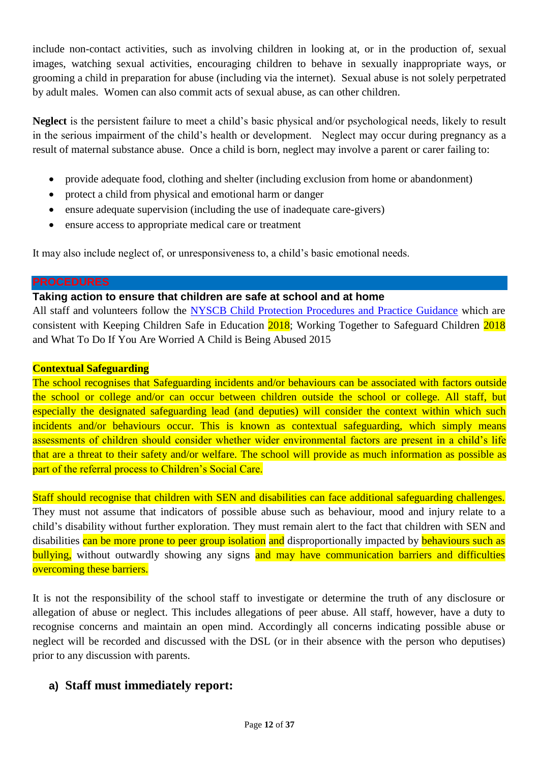include non-contact activities, such as involving children in looking at, or in the production of, sexual images, watching sexual activities, encouraging children to behave in sexually inappropriate ways, or grooming a child in preparation for abuse (including via the internet). Sexual abuse is not solely perpetrated by adult males. Women can also commit acts of sexual abuse, as can other children.

**Neglect** is the persistent failure to meet a child's basic physical and/or psychological needs, likely to result in the serious impairment of the child's health or development. Neglect may occur during pregnancy as a result of maternal substance abuse. Once a child is born, neglect may involve a parent or carer failing to:

- provide adequate food, clothing and shelter (including exclusion from home or abandonment)
- protect a child from physical and emotional harm or danger
- ensure adequate supervision (including the use of inadequate care-givers)
- ensure access to appropriate medical care or treatment

It may also include neglect of, or unresponsiveness to, a child's basic emotional needs.

#### **PROCEDURES**

#### **Taking action to ensure that children are safe at school and at home**

All staff and volunteers follow the [NYSCB Child Protection Procedures and Practice Guidance](http://www.safeguardingchildren.co.uk/) which are consistent with Keeping Children Safe in Education 2018; Working Together to Safeguard Children 2018 and What To Do If You Are Worried A Child is Being Abused 2015

#### **Contextual Safeguarding**

The school recognises that Safeguarding incidents and/or behaviours can be associated with factors outside the school or college and/or can occur between children outside the school or college. All staff, but especially the designated safeguarding lead (and deputies) will consider the context within which such incidents and/or behaviours occur. This is known as contextual safeguarding, which simply means assessments of children should consider whether wider environmental factors are present in a child's life that are a threat to their safety and/or welfare. The school will provide as much information as possible as part of the referral process to Children's Social Care.

Staff should recognise that children with SEN and disabilities can face additional safeguarding challenges. They must not assume that indicators of possible abuse such as behaviour, mood and injury relate to a child's disability without further exploration. They must remain alert to the fact that children with SEN and disabilities can be more prone to peer group isolation and disproportionally impacted by behaviours such as bullying, without outwardly showing any signs and may have communication barriers and difficulties overcoming these barriers.

It is not the responsibility of the school staff to investigate or determine the truth of any disclosure or allegation of abuse or neglect. This includes allegations of peer abuse. All staff, however, have a duty to recognise concerns and maintain an open mind. Accordingly all concerns indicating possible abuse or neglect will be recorded and discussed with the DSL (or in their absence with the person who deputises) prior to any discussion with parents.

# **a) Staff must immediately report:**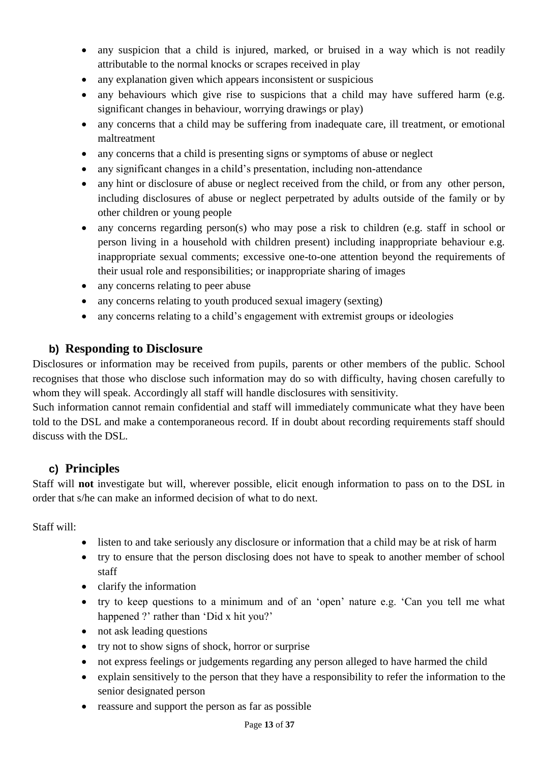- any suspicion that a child is injured, marked, or bruised in a way which is not readily attributable to the normal knocks or scrapes received in play
- any explanation given which appears inconsistent or suspicious
- any behaviours which give rise to suspicions that a child may have suffered harm (e.g. significant changes in behaviour, worrying drawings or play)
- any concerns that a child may be suffering from inadequate care, ill treatment, or emotional maltreatment
- any concerns that a child is presenting signs or symptoms of abuse or neglect
- any significant changes in a child's presentation, including non-attendance
- any hint or disclosure of abuse or neglect received from the child, or from any other person, including disclosures of abuse or neglect perpetrated by adults outside of the family or by other children or young people
- any concerns regarding person(s) who may pose a risk to children (e.g. staff in school or person living in a household with children present) including inappropriate behaviour e.g. inappropriate sexual comments; excessive one-to-one attention beyond the requirements of their usual role and responsibilities; or inappropriate sharing of images
- any concerns relating to peer abuse
- any concerns relating to youth produced sexual imagery (sexting)
- any concerns relating to a child's engagement with extremist groups or ideologies

# **b) Responding to Disclosure**

Disclosures or information may be received from pupils, parents or other members of the public. School recognises that those who disclose such information may do so with difficulty, having chosen carefully to whom they will speak. Accordingly all staff will handle disclosures with sensitivity.

Such information cannot remain confidential and staff will immediately communicate what they have been told to the DSL and make a contemporaneous record. If in doubt about recording requirements staff should discuss with the DSL.

# **c) Principles**

Staff will **not** investigate but will, wherever possible, elicit enough information to pass on to the DSL in order that s/he can make an informed decision of what to do next.

Staff will:

- listen to and take seriously any disclosure or information that a child may be at risk of harm
- try to ensure that the person disclosing does not have to speak to another member of school staff
- clarify the information
- try to keep questions to a minimum and of an 'open' nature e.g. 'Can you tell me what happened ?' rather than 'Did x hit you?'
- not ask leading questions
- try not to show signs of shock, horror or surprise
- not express feelings or judgements regarding any person alleged to have harmed the child
- explain sensitively to the person that they have a responsibility to refer the information to the senior designated person
- reassure and support the person as far as possible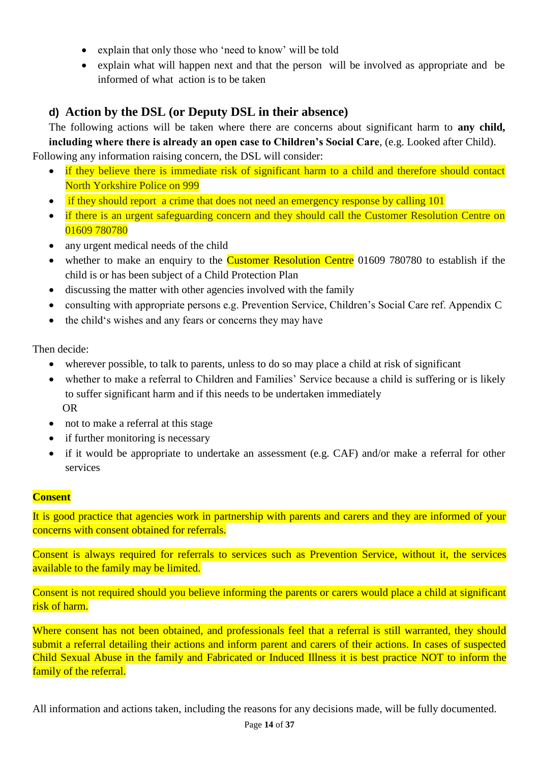- explain that only those who 'need to know' will be told
- explain what will happen next and that the person will be involved as appropriate and be informed of what action is to be taken

# **d) Action by the DSL (or Deputy DSL in their absence)**

The following actions will be taken where there are concerns about significant harm to **any child, including where there is already an open case to Children's Social Care**, (e.g. Looked after Child). Following any information raising concern, the DSL will consider:

- if they believe there is immediate risk of significant harm to a child and therefore should contact North Yorkshire Police on 999
- if they should report a crime that does not need an emergency response by calling 101
- if there is an urgent safeguarding concern and they should call the Customer Resolution Centre on 01609 780780
- any urgent medical needs of the child
- whether to make an enquiry to the **Customer Resolution Centre** 01609 780780 to establish if the child is or has been subject of a Child Protection Plan
- discussing the matter with other agencies involved with the family
- consulting with appropriate persons e.g. Prevention Service, Children's Social Care ref. Appendix C
- the child's wishes and any fears or concerns they may have

Then decide:

- wherever possible, to talk to parents, unless to do so may place a child at risk of significant
- whether to make a referral to Children and Families' Service because a child is suffering or is likely to suffer significant harm and if this needs to be undertaken immediately OR
- not to make a referral at this stage
- if further monitoring is necessary
- if it would be appropriate to undertake an assessment (e.g. CAF) and/or make a referral for other services

# **Consent**

It is good practice that agencies work in partnership with parents and carers and they are informed of your concerns with consent obtained for referrals.

Consent is always required for referrals to services such as Prevention Service, without it, the services available to the family may be limited.

Consent is not required should you believe informing the parents or carers would place a child at significant risk of harm.

Where consent has not been obtained, and professionals feel that a referral is still warranted, they should submit a referral detailing their actions and inform parent and carers of their actions. In cases of suspected Child Sexual Abuse in the family and Fabricated or Induced Illness it is best practice NOT to inform the family of the referral.

All information and actions taken, including the reasons for any decisions made, will be fully documented.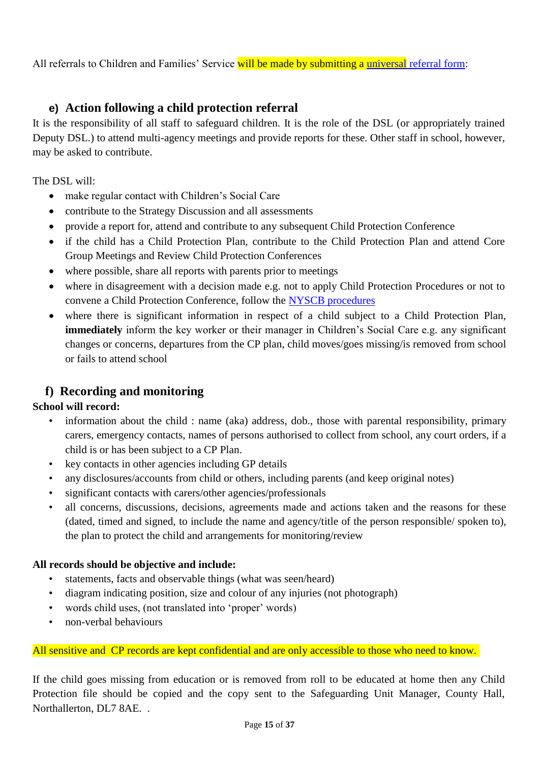All referrals to Children and Families' Service will be made by submitting a universal [referral form:](http://www.safeguardingchildren.co.uk/worried-about-child)

# **e) Action following a child protection referral**

It is the responsibility of all staff to safeguard children. It is the role of the DSL (or appropriately trained Deputy DSL.) to attend multi-agency meetings and provide reports for these. Other staff in school, however, may be asked to contribute.

The DSL will:

- make regular contact with Children's Social Care
- contribute to the Strategy Discussion and all assessments
- provide a report for, attend and contribute to any subsequent Child Protection Conference
- if the child has a Child Protection Plan, contribute to the Child Protection Plan and attend Core Group Meetings and Review Child Protection Conferences
- where possible, share all reports with parents prior to meetings
- where in disagreement with a decision made e.g. not to apply Child Protection Procedures or not to convene a Child Protection Conference, follow the [NYSCB procedures](http://www.safeguardingchildren.co.uk/professionals/professional-resolutions)
- where there is significant information in respect of a child subject to a Child Protection Plan, **immediately** inform the key worker or their manager in Children's Social Care e.g. any significant changes or concerns, departures from the CP plan, child moves/goes missing/is removed from school or fails to attend school

# **f) Recording and monitoring**

#### **School will record:**

- information about the child : name (aka) address, dob., those with parental responsibility, primary carers, emergency contacts, names of persons authorised to collect from school, any court orders, if a child is or has been subject to a CP Plan.
- key contacts in other agencies including GP details
- any disclosures/accounts from child or others, including parents (and keep original notes)
- significant contacts with carers/other agencies/professionals
- all concerns, discussions, decisions, agreements made and actions taken and the reasons for these (dated, timed and signed, to include the name and agency/title of the person responsible/ spoken to), the plan to protect the child and arrangements for monitoring/review

#### **All records should be objective and include:**

- statements, facts and observable things (what was seen/heard)
- diagram indicating position, size and colour of any injuries (not photograph)
- words child uses, (not translated into 'proper' words)
- non-verbal behaviours

All sensitive and CP records are kept confidential and are only accessible to those who need to know.

If the child goes missing from education or is removed from roll to be educated at home then any Child Protection file should be copied and the copy sent to the Safeguarding Unit Manager, County Hall, Northallerton, DL7 8AE. .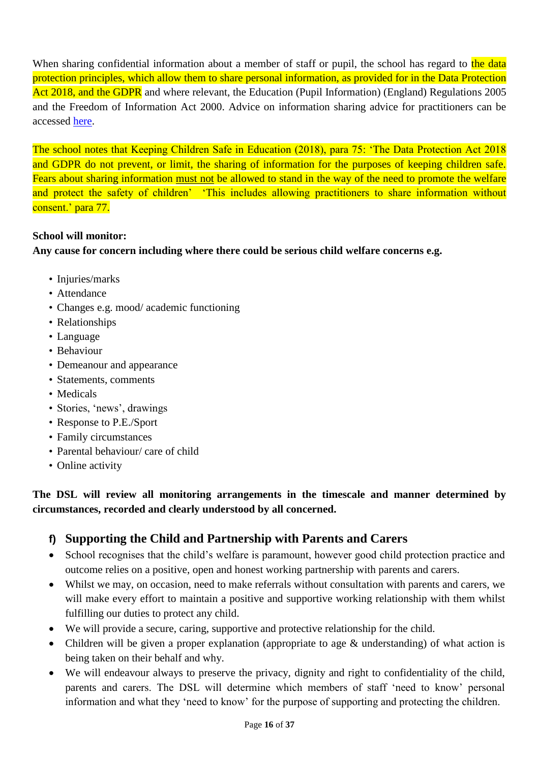When sharing confidential information about a member of staff or pupil, the school has regard to the data protection principles, which allow them to share personal information, as provided for in the Data Protection Act 2018, and the GDPR and where relevant, the Education (Pupil Information) (England) Regulations 2005 and the Freedom of Information Act 2000. Advice on information sharing advice for practitioners can be accessed [here.](https://www.gov.uk/government/publications/safeguarding-practitioners-information-sharing-advice)

The school notes that Keeping Children Safe in Education (2018), para 75: 'The Data Protection Act 2018 and GDPR do not prevent, or limit, the sharing of information for the purposes of keeping children safe. Fears about sharing information must not be allowed to stand in the way of the need to promote the welfare and protect the safety of children' 'This includes allowing practitioners to share information without consent.' para 77.

## **School will monitor:**

**Any cause for concern including where there could be serious child welfare concerns e.g.** 

- Injuries/marks
- Attendance
- Changes e.g. mood/ academic functioning
- Relationships
- Language
- Behaviour
- Demeanour and appearance
- Statements, comments
- Medicals
- Stories, 'news', drawings
- Response to P.E./Sport
- Family circumstances
- Parental behaviour/ care of child
- Online activity

**The DSL will review all monitoring arrangements in the timescale and manner determined by circumstances, recorded and clearly understood by all concerned.**

# **f) Supporting the Child and Partnership with Parents and Carers**

- School recognises that the child's welfare is paramount, however good child protection practice and outcome relies on a positive, open and honest working partnership with parents and carers.
- Whilst we may, on occasion, need to make referrals without consultation with parents and carers, we will make every effort to maintain a positive and supportive working relationship with them whilst fulfilling our duties to protect any child.
- We will provide a secure, caring, supportive and protective relationship for the child.
- Children will be given a proper explanation (appropriate to age & understanding) of what action is being taken on their behalf and why.
- We will endeavour always to preserve the privacy, dignity and right to confidentiality of the child, parents and carers. The DSL will determine which members of staff 'need to know' personal information and what they 'need to know' for the purpose of supporting and protecting the children.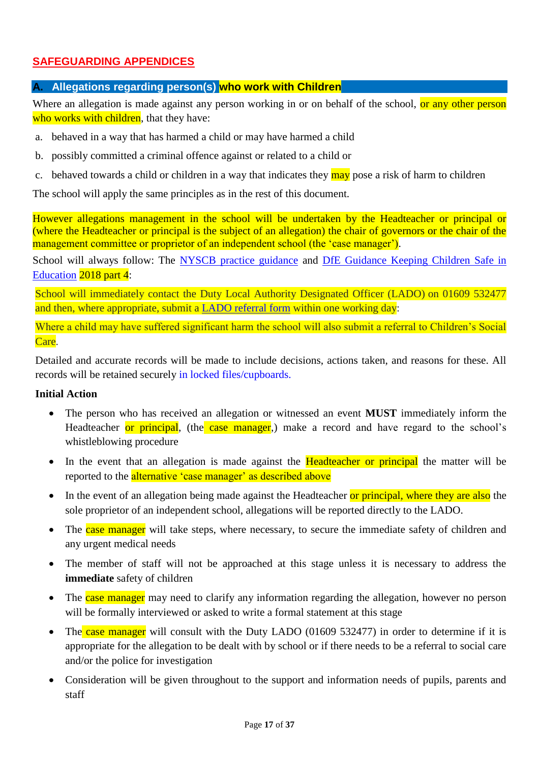# **SAFEGUARDING APPENDICES**

#### **A. Allegations regarding person(s) who work with Children**

Where an allegation is made against any person working in or on behalf of the school, or any other person who works with children, that they have:

- a. behaved in a way that has harmed a child or may have harmed a child
- b. possibly committed a criminal offence against or related to a child or
- c. behaved towards a child or children in a way that indicates they  $\frac{may}{may}$  pose a risk of harm to children

The school will apply the same principles as in the rest of this document.

However allegations management in the school will be undertaken by the Headteacher or principal or (where the Headteacher or principal is the subject of an allegation) the chair of governors or the chair of the management committee or proprietor of an independent school (the 'case manager').

School will always follow: The [NYSCB practice guidance](http://www.safeguardingchildren.co.uk/professionals/managing-allegations-against-staff) and DfE Guidance Keeping Children Safe in [Education](https://www.gov.uk/government/publications/keeping-children-safe-in-education--2) 2018 part 4:

School will immediately contact the Duty Local Authority Designated Officer (LADO) on 01609 532477 and then, where appropriate, submit a [LADO referral form](http://www.safeguardingchildren.co.uk/professionals/managing-allegations-against-staff) within one working day:

Where a child may have suffered significant harm the school will also submit a referral to Children's Social Care.

Detailed and accurate records will be made to include decisions, actions taken, and reasons for these. All records will be retained securely in locked files/cupboards.

#### **Initial Action**

- The person who has received an allegation or witnessed an event **MUST** immediately inform the Headteacher or principal, (the case manager) make a record and have regard to the school's whistleblowing procedure
- In the event that an allegation is made against the **Headteacher or principal** the matter will be reported to the alternative 'case manager' as described above
- In the event of an allegation being made against the Headteacher or principal, where they are also the sole proprietor of an independent school, allegations will be reported directly to the LADO.
- The case manager will take steps, where necessary, to secure the immediate safety of children and any urgent medical needs
- The member of staff will not be approached at this stage unless it is necessary to address the **immediate** safety of children
- The **case manager** may need to clarify any information regarding the allegation, however no person will be formally interviewed or asked to write a formal statement at this stage
- The case manager will consult with the Duty LADO (01609 532477) in order to determine if it is appropriate for the allegation to be dealt with by school or if there needs to be a referral to social care and/or the police for investigation
- Consideration will be given throughout to the support and information needs of pupils, parents and staff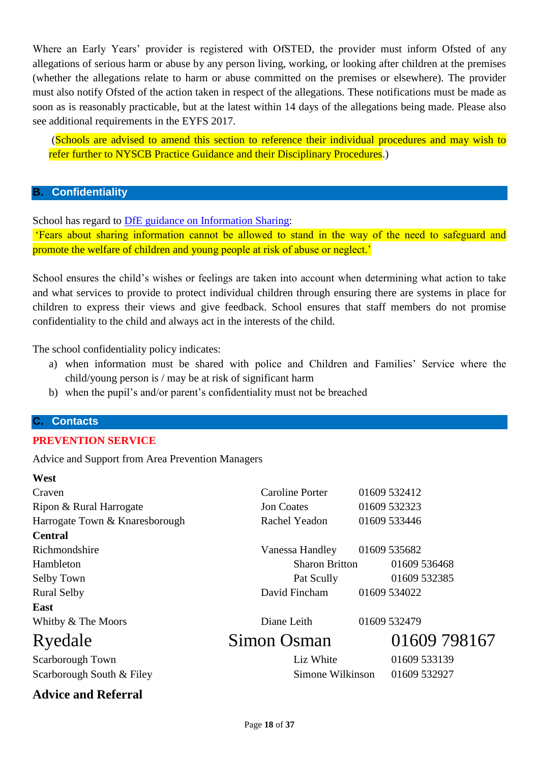Where an Early Years' provider is registered with OfSTED, the provider must inform Ofsted of any allegations of serious harm or abuse by any person living, working, or looking after children at the premises (whether the allegations relate to harm or abuse committed on the premises or elsewhere). The provider must also notify Ofsted of the action taken in respect of the allegations. These notifications must be made as soon as is reasonably practicable, but at the latest within 14 days of the allegations being made. Please also see additional requirements in the EYFS 2017.

(Schools are advised to amend this section to reference their individual procedures and may wish to refer further to NYSCB Practice Guidance and their Disciplinary Procedures.)

#### **B. Confidentiality**

School has regard to [DfE guidance on Information Sharing:](https://www.gov.uk/government/publications/safeguarding-practitioners-information-sharing-advice)

'Fears about sharing information cannot be allowed to stand in the way of the need to safeguard and promote the welfare of children and young people at risk of abuse or neglect.'

School ensures the child's wishes or feelings are taken into account when determining what action to take and what services to provide to protect individual children through ensuring there are systems in place for children to express their views and give feedback. School ensures that staff members do not promise confidentiality to the child and always act in the interests of the child.

The school confidentiality policy indicates:

- a) when information must be shared with police and Children and Families' Service where the child/young person is / may be at risk of significant harm
- b) when the pupil's and/or parent's confidentiality must not be breached

#### **C. Contacts**

#### **PREVENTION SERVICE**

Advice and Support from Area Prevention Managers

| West                           |                        |  |              |
|--------------------------------|------------------------|--|--------------|
| Craven                         | <b>Caroline Porter</b> |  | 01609 532412 |
| Ripon & Rural Harrogate        | <b>Jon Coates</b>      |  | 01609 532323 |
| Harrogate Town & Knaresborough | Rachel Yeadon          |  | 01609 533446 |
| <b>Central</b>                 |                        |  |              |
| Richmondshire                  | Vanessa Handley        |  | 01609 535682 |
| Hambleton                      | <b>Sharon Britton</b>  |  | 01609 536468 |
| Selby Town                     | Pat Scully             |  | 01609 532385 |
| <b>Rural Selby</b>             | David Fincham          |  | 01609 534022 |
| <b>East</b>                    |                        |  |              |
| Whitby & The Moors             | Diane Leith            |  | 01609 532479 |
| Ryedale                        | Simon Osman            |  | 01609 798167 |
| Scarborough Town               | Liz White              |  | 01609 533139 |
| Scarborough South & Filey      | Simone Wilkinson       |  | 01609 532927 |
| <b>Advice and Referral</b>     |                        |  |              |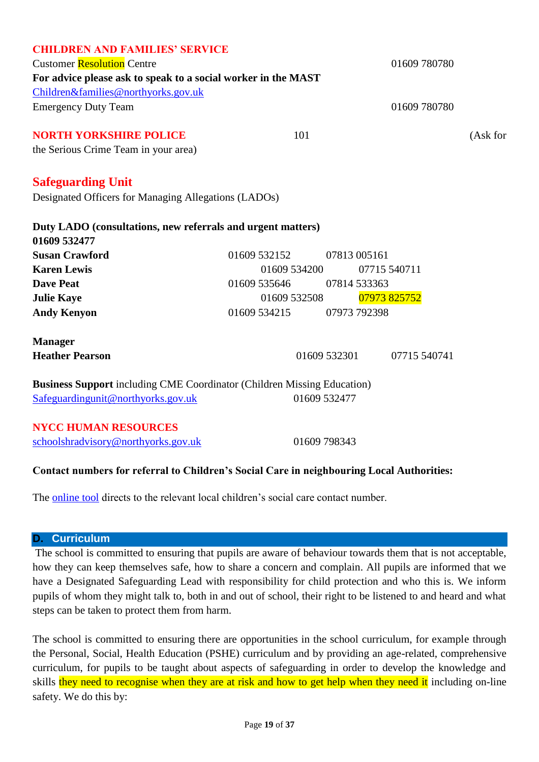| <b>CHILDREN AND FAMILIES' SERVICE</b>                                          |                           |              |              |          |
|--------------------------------------------------------------------------------|---------------------------|--------------|--------------|----------|
| <b>Customer Resolution Centre</b>                                              |                           |              | 01609 780780 |          |
| For advice please ask to speak to a social worker in the MAST                  |                           |              |              |          |
| Children&families@northyorks.gov.uk                                            |                           |              |              |          |
| <b>Emergency Duty Team</b>                                                     |                           |              | 01609 780780 |          |
|                                                                                |                           |              |              |          |
| <b>NORTH YORKSHIRE POLICE</b>                                                  | 101                       |              |              | (Ask for |
| the Serious Crime Team in your area)                                           |                           |              |              |          |
|                                                                                |                           |              |              |          |
| <b>Safeguarding Unit</b>                                                       |                           |              |              |          |
| Designated Officers for Managing Allegations (LADOs)                           |                           |              |              |          |
|                                                                                |                           |              |              |          |
| Duty LADO (consultations, new referrals and urgent matters)                    |                           |              |              |          |
| 01609 532477                                                                   |                           |              |              |          |
| <b>Susan Crawford</b>                                                          | 01609 532152              | 07813 005161 |              |          |
| <b>Karen Lewis</b>                                                             | 01609 534200              |              | 07715 540711 |          |
| <b>Dave Peat</b>                                                               | 01609 535646              | 07814 533363 |              |          |
| <b>Julie Kaye</b>                                                              | 01609 532508              |              | 07973 825752 |          |
| <b>Andy Kenyon</b>                                                             | 01609 534215 07973 792398 |              |              |          |
|                                                                                |                           |              |              |          |
| <b>Manager</b>                                                                 |                           |              |              |          |
| <b>Heather Pearson</b>                                                         |                           | 01609 532301 | 07715 540741 |          |
|                                                                                |                           |              |              |          |
| <b>Business Support</b> including CME Coordinator (Children Missing Education) |                           |              |              |          |
| Safeguardingunit@northyorks.gov.uk                                             |                           | 01609 532477 |              |          |
|                                                                                |                           |              |              |          |
| <b>NYCC HUMAN RESOURCES</b>                                                    |                           |              |              |          |
| schoolshradvisory@northyorks.gov.uk                                            |                           | 01609 798343 |              |          |
|                                                                                |                           |              |              |          |

#### **Contact numbers for referral to Children's Social Care in neighbouring Local Authorities:**

The [online tool](https://www.gov.uk/report-child-abuse-to-local-council) directs to the relevant local children's social care contact number.

#### **D. Curriculum**

The school is committed to ensuring that pupils are aware of behaviour towards them that is not acceptable, how they can keep themselves safe, how to share a concern and complain. All pupils are informed that we have a Designated Safeguarding Lead with responsibility for child protection and who this is. We inform pupils of whom they might talk to, both in and out of school, their right to be listened to and heard and what steps can be taken to protect them from harm.

The school is committed to ensuring there are opportunities in the school curriculum, for example through the Personal, Social, Health Education (PSHE) curriculum and by providing an age-related, comprehensive curriculum, for pupils to be taught about aspects of safeguarding in order to develop the knowledge and skills they need to recognise when they are at risk and how to get help when they need it including on-line safety. We do this by: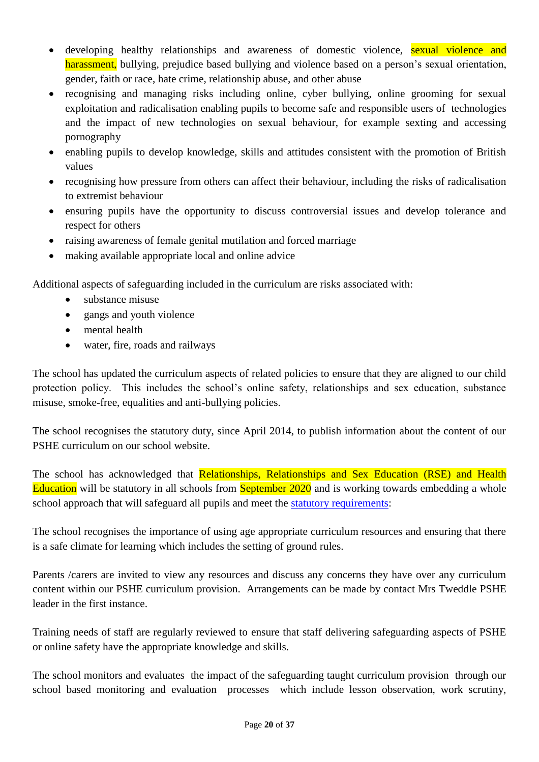- developing healthy relationships and awareness of domestic violence, sexual violence and harassment, bullying, prejudice based bullying and violence based on a person's sexual orientation, gender, faith or race, hate crime, relationship abuse, and other abuse
- recognising and managing risks including online, cyber bullying, online grooming for sexual exploitation and radicalisation enabling pupils to become safe and responsible users of technologies and the impact of new technologies on sexual behaviour, for example sexting and accessing pornography
- enabling pupils to develop knowledge, skills and attitudes consistent with the promotion of British values
- recognising how pressure from others can affect their behaviour, including the risks of radicalisation to extremist behaviour
- ensuring pupils have the opportunity to discuss controversial issues and develop tolerance and respect for others
- raising awareness of female genital mutilation and forced marriage
- making available appropriate local and online advice

Additional aspects of safeguarding included in the curriculum are risks associated with:

- substance misuse
- gangs and youth violence
- mental health
- water, fire, roads and railways

The school has updated the curriculum aspects of related policies to ensure that they are aligned to our child protection policy. This includes the school's online safety, relationships and sex education, substance misuse, smoke-free, equalities and anti-bullying policies.

The school recognises the statutory duty, since April 2014, to publish information about the content of our PSHE curriculum on our school website.

The school has acknowledged that Relationships, Relationships and Sex Education (RSE) and Health Education will be statutory in all schools from September 2020 and is working towards embedding a whole school approach that will safeguard all pupils and meet the [statutory requirements:](https://consult.education.gov.uk/pshe/relationships-education-rse-health-education/)

The school recognises the importance of using age appropriate curriculum resources and ensuring that there is a safe climate for learning which includes the setting of ground rules.

Parents /carers are invited to view any resources and discuss any concerns they have over any curriculum content within our PSHE curriculum provision. Arrangements can be made by contact Mrs Tweddle PSHE leader in the first instance.

Training needs of staff are regularly reviewed to ensure that staff delivering safeguarding aspects of PSHE or online safety have the appropriate knowledge and skills.

The school monitors and evaluates the impact of the safeguarding taught curriculum provision through our school based monitoring and evaluation processes which include lesson observation, work scrutiny,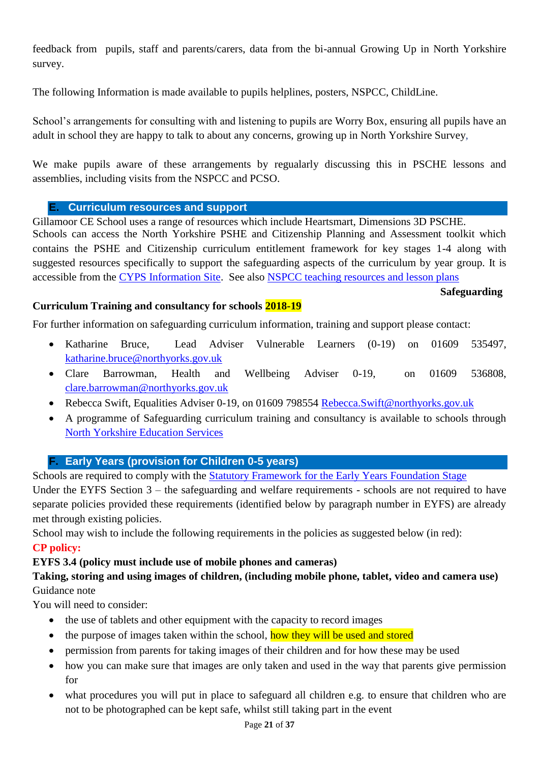feedback from pupils, staff and parents/carers, data from the bi-annual Growing Up in North Yorkshire survey.

The following Information is made available to pupils helplines, posters, NSPCC, ChildLine.

School's arrangements for consulting with and listening to pupils are Worry Box, ensuring all pupils have an adult in school they are happy to talk to about any concerns, growing up in North Yorkshire Survey,

We make pupils aware of these arrangements by regualarly discussing this in PSCHE lessons and assemblies, including visits from the NSPCC and PCSO.

# **E. Curriculum resources and support**

Gillamoor CE School uses a range of resources which include Heartsmart, Dimensions 3D PSCHE. Schools can access the North Yorkshire PSHE and Citizenship Planning and Assessment toolkit which

contains the PSHE and Citizenship curriculum entitlement framework for key stages 1-4 along with suggested resources specifically to support the safeguarding aspects of the curriculum by year group. It is accessible from the [CYPS Information Site.](http://cyps.northyorks.gov.uk/health-wellbeing-pshe) See also [NSPCC teaching resources and lesson plans](https://learning.nspcc.org.uk/safeguarding-child-protection-schools/teaching-resources-lesson-plans/)

#### **Safeguarding**

# **Curriculum Training and consultancy for schools 2018-19**

For further information on safeguarding curriculum information, training and support please contact:

- Katharine Bruce, Lead Adviser Vulnerable Learners (0-19) on 01609 535497, [katharine.bruce@northyorks.gov.uk](mailto:katharine.bruce@northyorks.gov.uk)
- Clare Barrowman, Health and Wellbeing Adviser 0-19, on 01609 536808, [clare.barrowman@northyorks.gov.uk](mailto:clare.barrowman@northyorks.gov.uk)
- Rebecca Swift, Equalities Adviser 0-19, on 01609 798554 Rebecca. Swift@northyorks.gov.uk
- A programme of Safeguarding curriculum training and consultancy is available to schools through [North Yorkshire Education Services](http://nyeducationservices.co.uk/)

# **F. Early Years (provision for Children 0-5 years)**

Schools are required to comply with the [Statutory Framework for the Early Years Foundation Stage](https://www.foundationyears.org.uk/files/2017/03/EYFS_STATUTORY_FRAMEWORK_2017.pdf)

Under the EYFS Section 3 – the safeguarding and welfare requirements - schools are not required to have separate policies provided these requirements (identified below by paragraph number in EYFS) are already met through existing policies.

School may wish to include the following requirements in the policies as suggested below (in red):

## **CP policy:**

# **EYFS 3.4 (policy must include use of mobile phones and cameras)**

# **Taking, storing and using images of children, (including mobile phone, tablet, video and camera use)** Guidance note

You will need to consider:

- the use of tablets and other equipment with the capacity to record images
- the purpose of images taken within the school, how they will be used and stored
- permission from parents for taking images of their children and for how these may be used
- how you can make sure that images are only taken and used in the way that parents give permission for
- what procedures you will put in place to safeguard all children e.g. to ensure that children who are not to be photographed can be kept safe, whilst still taking part in the event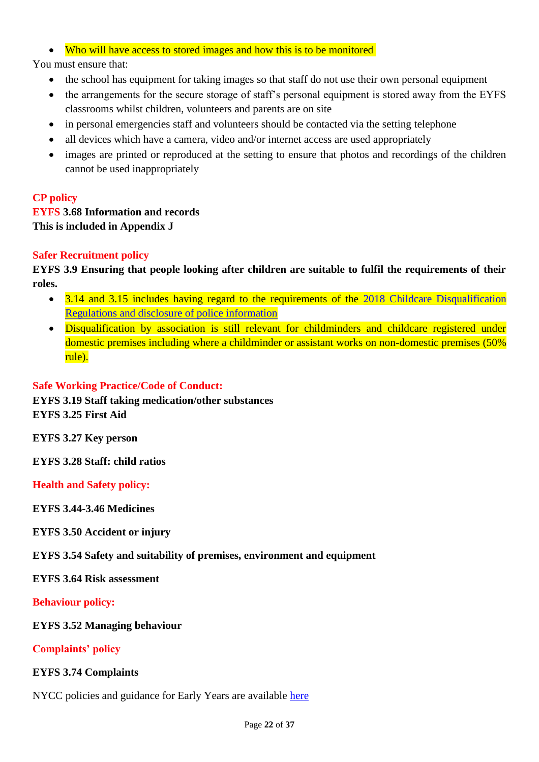#### • Who will have access to stored images and how this is to be monitored

You must ensure that:

- the school has equipment for taking images so that staff do not use their own personal equipment
- the arrangements for the secure storage of staff's personal equipment is stored away from the EYFS classrooms whilst children, volunteers and parents are on site
- in personal emergencies staff and volunteers should be contacted via the setting telephone
- all devices which have a camera, video and/or internet access are used appropriately
- images are printed or reproduced at the setting to ensure that photos and recordings of the children cannot be used inappropriately

#### **CP policy**

# **EYFS 3.68 Information and records This is included in Appendix J**

#### **Safer Recruitment policy**

**EYFS 3.9 Ensuring that people looking after children are suitable to fulfil the requirements of their roles.** 

- 3.14 and 3.15 includes having regard to the requirements of the 2018 Childcare Disqualification [Regulations and disclosure of police information](http://www.legislation.gov.uk/uksi/2018/794/contents/made)
- Disqualification by association is still relevant for childminders and childcare registered under domestic premises including where a childminder or assistant works on non-domestic premises (50% rule).

#### **Safe Working Practice/Code of Conduct:**

# **EYFS 3.19 Staff taking medication/other substances EYFS 3.25 First Aid**

**EYFS 3.27 Key person**

**EYFS 3.28 Staff: child ratios**

#### **Health and Safety policy:**

**EYFS 3.44-3.46 Medicines**

**EYFS 3.50 Accident or injury**

**EYFS 3.54 Safety and suitability of premises, environment and equipment** 

**EYFS 3.64 Risk assessment**

**Behaviour policy:**

#### **EYFS 3.52 Managing behaviour**

#### **Complaints' policy**

#### **EYFS 3.74 Complaints**

NYCC policies and guidance for Early Years are available [here](http://cyps.northyorks.gov.uk/safeguarding-children-early-years-provision)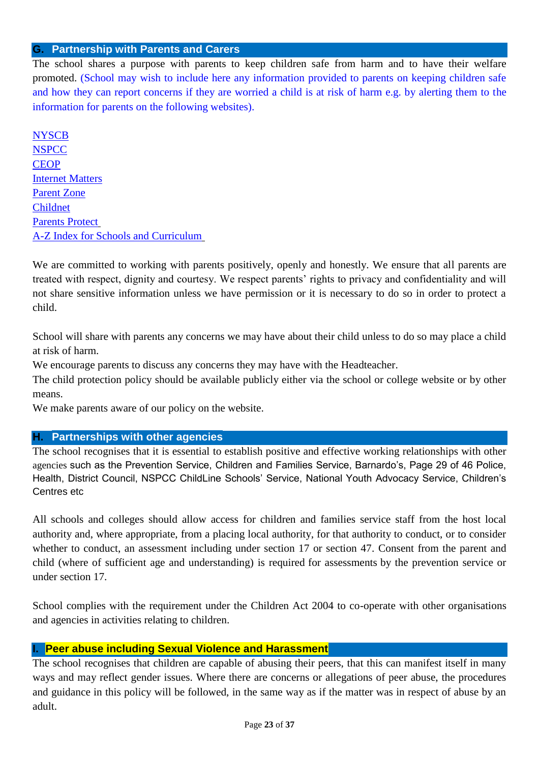#### **G. Partnership with Parents and Carers**

The school shares a purpose with parents to keep children safe from harm and to have their welfare promoted. (School may wish to include here any information provided to parents on keeping children safe and how they can report concerns if they are worried a child is at risk of harm e.g. by alerting them to the information for parents on the following websites).

**[NYSCB](http://www.safeguardingchildren.co.uk/) [NSPCC](http://www.nspcc.org.uk/) CEOP** [Internet](http://www.internetmatters.org/) Matters [Parent](http://www.theparentzone.co.uk/parent) Zone [Childnet](http://www.childnet.com/resources/know-it-all-for-parents) [Parents](http://www.parentsprotect.co.uk/) Protect [A-Z Index for Schools and Curriculum](http://www.direct.gov.uk/en/Parents/Schoolslearninganddevelopment/YourChildsWelfareAtSchool/index.htm)

We are committed to working with parents positively, openly and honestly. We ensure that all parents are treated with respect, dignity and courtesy. We respect parents' rights to privacy and confidentiality and will not share sensitive information unless we have permission or it is necessary to do so in order to protect a child.

School will share with parents any concerns we may have about their child unless to do so may place a child at risk of harm.

We encourage parents to discuss any concerns they may have with the Headteacher.

The child protection policy should be available publicly either via the school or college website or by other means.

We make parents aware of our policy on the website.

#### **H. Partnerships with other agencies**

The school recognises that it is essential to establish positive and effective working relationships with other agencies such as the Prevention Service, Children and Families Service, Barnardo's, Page 29 of 46 Police, Health, District Council, NSPCC ChildLine Schools' Service, National Youth Advocacy Service, Children's Centres etc

All schools and colleges should allow access for children and families service staff from the host local authority and, where appropriate, from a placing local authority, for that authority to conduct, or to consider whether to conduct, an assessment including under section 17 or section 47. Consent from the parent and child (where of sufficient age and understanding) is required for assessments by the prevention service or under section 17.

School complies with the requirement under the Children Act 2004 to co-operate with other organisations and agencies in activities relating to children.

#### **I. Peer abuse including Sexual Violence and Harassment**

The school recognises that children are capable of abusing their peers, that this can manifest itself in many ways and may reflect gender issues. Where there are concerns or allegations of peer abuse, the procedures and guidance in this policy will be followed, in the same way as if the matter was in respect of abuse by an adult.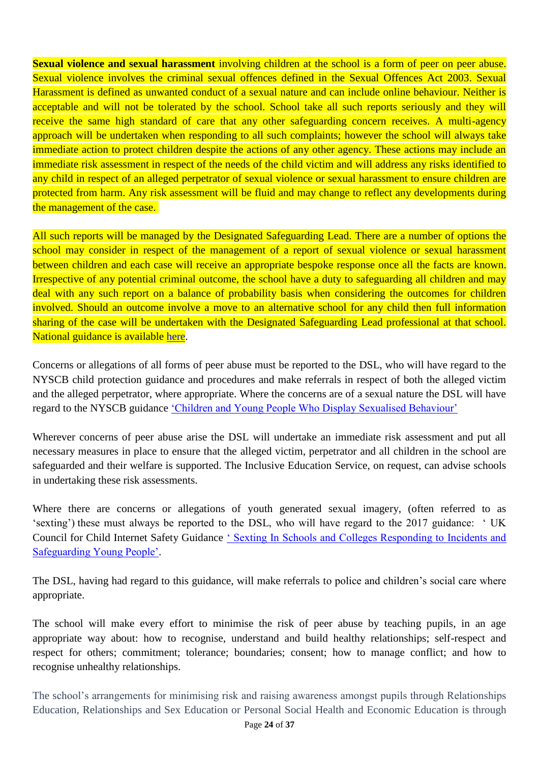**Sexual violence and sexual harassment** involving children at the school is a form of peer on peer abuse. Sexual violence involves the criminal sexual offences defined in the Sexual Offences Act 2003. Sexual Harassment is defined as unwanted conduct of a sexual nature and can include online behaviour. Neither is acceptable and will not be tolerated by the school. School take all such reports seriously and they will receive the same high standard of care that any other safeguarding concern receives. A multi-agency approach will be undertaken when responding to all such complaints; however the school will always take immediate action to protect children despite the actions of any other agency. These actions may include an immediate risk assessment in respect of the needs of the child victim and will address any risks identified to any child in respect of an alleged perpetrator of sexual violence or sexual harassment to ensure children are protected from harm. Any risk assessment will be fluid and may change to reflect any developments during the management of the case.

All such reports will be managed by the Designated Safeguarding Lead. There are a number of options the school may consider in respect of the management of a report of sexual violence or sexual harassment between children and each case will receive an appropriate bespoke response once all the facts are known. Irrespective of any potential criminal outcome, the school have a duty to safeguarding all children and may deal with any such report on a balance of probability basis when considering the outcomes for children involved. Should an outcome involve a move to an alternative school for any child then full information sharing of the case will be undertaken with the Designated Safeguarding Lead professional at that school. National guidance is available [here.](https://www.gov.uk/government/publications/sexual-violence-and-sexual-harassment-between-children-in-schools-and-colleges)

Concerns or allegations of all forms of peer abuse must be reported to the DSL, who will have regard to the NYSCB child protection guidance and procedures and make referrals in respect of both the alleged victim and the alleged perpetrator, where appropriate. Where the concerns are of a sexual nature the DSL will have regard to the NYSCB guidance ['Children and Young People Who Display Sexualised Behaviour'](http://www.safeguardingchildren.co.uk/professionals/YPWSH)

Wherever concerns of peer abuse arise the DSL will undertake an immediate risk assessment and put all necessary measures in place to ensure that the alleged victim, perpetrator and all children in the school are safeguarded and their welfare is supported. The Inclusive Education Service, on request, can advise schools in undertaking these risk assessments.

Where there are concerns or allegations of youth generated sexual imagery, (often referred to as 'sexting') these must always be reported to the DSL, who will have regard to the 2017 guidance: ' UK Council for Child Internet Safety Guidance [' Sexting In Schools and Colleges Responding to Incidents and](https://www.gov.uk/government/uploads/system/uploads/attachment_data/file/609874/6_2939_SP_NCA_Sexting_In_Schools_FINAL_Update_Jan17.pdf)  [Safeguarding Young People'.](https://www.gov.uk/government/uploads/system/uploads/attachment_data/file/609874/6_2939_SP_NCA_Sexting_In_Schools_FINAL_Update_Jan17.pdf)

The DSL, having had regard to this guidance, will make referrals to police and children's social care where appropriate.

The school will make every effort to minimise the risk of peer abuse by teaching pupils, in an age appropriate way about: how to recognise, understand and build healthy relationships; self-respect and respect for others; commitment; tolerance; boundaries; consent; how to manage conflict; and how to recognise unhealthy relationships.

The school's arrangements for minimising risk and raising awareness amongst pupils through Relationships Education, Relationships and Sex Education or Personal Social Health and Economic Education is through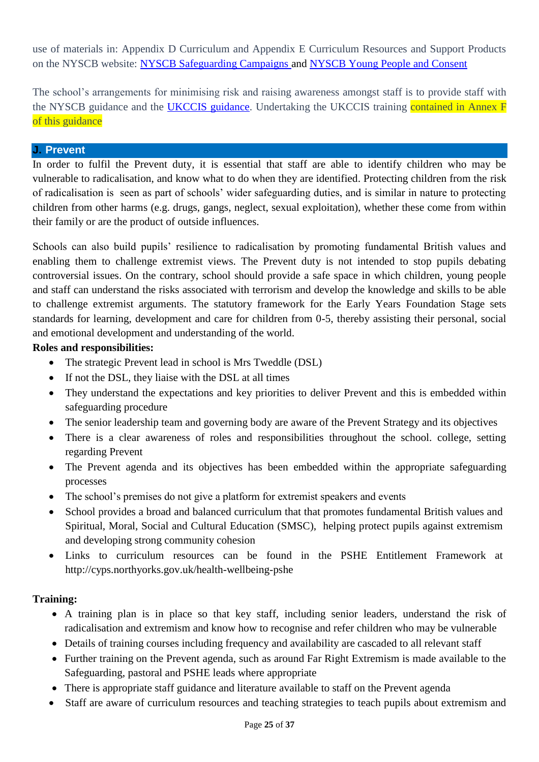use of materials in: Appendix D Curriculum and Appendix E Curriculum Resources and Support Products on the NYSCB website: [NYSCB](http://www.safeguardingchildren.co.uk/professionals/safeguarding-campaigns) Safeguarding Campaigns and [NYSCB Young People and Consent](http://www.safeguardingchildren.co.uk/children-young-people/consent)

The school's arrangements for minimising risk and raising awareness amongst staff is to provide staff with the NYSCB guidance and the [UKCCIS guidance.](https://www.gov.uk/government/uploads/system/uploads/attachment_data/file/647389/Overview_of_Sexting_Guidance.pdf) Undertaking the UKCCIS training contained in Annex F of this guidance

#### **J. Prevent**

In order to fulfil the Prevent duty, it is essential that staff are able to identify children who may be vulnerable to radicalisation, and know what to do when they are identified. Protecting children from the risk of radicalisation is seen as part of schools' wider safeguarding duties, and is similar in nature to protecting children from other harms (e.g. drugs, gangs, neglect, sexual exploitation), whether these come from within their family or are the product of outside influences.

Schools can also build pupils' resilience to radicalisation by promoting fundamental British values and enabling them to challenge extremist views. The Prevent duty is not intended to stop pupils debating controversial issues. On the contrary, school should provide a safe space in which children, young people and staff can understand the risks associated with terrorism and develop the knowledge and skills to be able to challenge extremist arguments. The statutory framework for the Early Years Foundation Stage sets standards for learning, development and care for children from 0-5, thereby assisting their personal, social and emotional development and understanding of the world.

#### **Roles and responsibilities:**

- The strategic Prevent lead in school is Mrs Tweddle (DSL)
- If not the DSL, they liaise with the DSL at all times
- They understand the expectations and key priorities to deliver Prevent and this is embedded within safeguarding procedure
- The senior leadership team and governing body are aware of the Prevent Strategy and its objectives
- There is a clear awareness of roles and responsibilities throughout the school. college, setting regarding Prevent
- The Prevent agenda and its objectives has been embedded within the appropriate safeguarding processes
- The school's premises do not give a platform for extremist speakers and events
- School provides a broad and balanced curriculum that that promotes fundamental British values and Spiritual, Moral, Social and Cultural Education (SMSC), helping protect pupils against extremism and developing strong community cohesion
- Links to curriculum resources can be found in the PSHE Entitlement Framework at http://cyps.northyorks.gov.uk/health-wellbeing-pshe

#### **Training:**

- A training plan is in place so that key staff, including senior leaders, understand the risk of radicalisation and extremism and know how to recognise and refer children who may be vulnerable
- Details of training courses including frequency and availability are cascaded to all relevant staff
- Further training on the Prevent agenda, such as around Far Right Extremism is made available to the Safeguarding, pastoral and PSHE leads where appropriate
- There is appropriate staff guidance and literature available to staff on the Prevent agenda
- Staff are aware of curriculum resources and teaching strategies to teach pupils about extremism and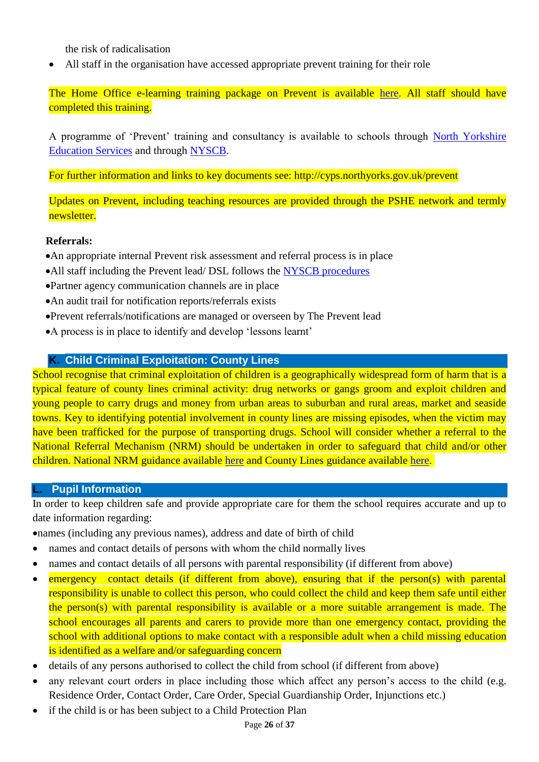the risk of radicalisation

All staff in the organisation have accessed appropriate prevent training for their role

The Home Office e-learning training package on Prevent is available [here.](https://www.elearning.prevent.homeoffice.gov.uk/) All staff should have completed this training.

A programme of 'Prevent' training and consultancy is available to schools through [North Yorkshire](http://nyeducationservices.co.uk/)  [Education Services](http://nyeducationservices.co.uk/) and through [NYSCB.](http://www.safeguardingchildren.co.uk/learning-improvement/training-courses)

For further information and links to key documents see: http://cyps.northyorks.gov.uk/prevent

Updates on Prevent, including teaching resources are provided through the PSHE network and termly newsletter.

#### **Referrals:**

- An appropriate internal Prevent risk assessment and referral process is in place
- All staff including the Prevent lead/ DSL follows the [NYSCB procedures](http://www.safeguardingchildren.co.uk/prevent-practice-guidance?v=preview)
- Partner agency communication channels are in place
- An audit trail for notification reports/referrals exists
- Prevent referrals/notifications are managed or overseen by The Prevent lead
- A process is in place to identify and develop 'lessons learnt'

## **K. Child Criminal Exploitation: County Lines**

School recognise that criminal exploitation of children is a geographically widespread form of harm that is a typical feature of county lines criminal activity: drug networks or gangs groom and exploit children and young people to carry drugs and money from urban areas to suburban and rural areas, market and seaside towns. Key to identifying potential involvement in county lines are missing episodes, when the victim may have been trafficked for the purpose of transporting drugs. School will consider whether a referral to the National Referral Mechanism (NRM) should be undertaken in order to safeguard that child and/or other children. National NRM guidance available [here](http://www.nationalcrimeagency.gov.uk/about-us/what-we-do/specialist-capabilities/uk-human-trafficking-centre/national-referral-mechanism) and County Lines guidance available [here.](https://www.gov.uk/government/publications/criminal-exploitation-of-children-and-vulnerable-adults-county-lines)

#### **L. Pupil Information**

In order to keep children safe and provide appropriate care for them the school requires accurate and up to date information regarding:

names (including any previous names), address and date of birth of child

- names and contact details of persons with whom the child normally lives
- names and contact details of all persons with parental responsibility (if different from above)
- emergency contact details (if different from above), ensuring that if the person(s) with parental responsibility is unable to collect this person, who could collect the child and keep them safe until either the person(s) with parental responsibility is available or a more suitable arrangement is made. The school encourages all parents and carers to provide more than one emergency contact, providing the school with additional options to make contact with a responsible adult when a child missing education is identified as a welfare and/or safeguarding concern
- details of any persons authorised to collect the child from school (if different from above)
- any relevant court orders in place including those which affect any person's access to the child (e.g. Residence Order, Contact Order, Care Order, Special Guardianship Order, Injunctions etc.)
- if the child is or has been subject to a Child Protection Plan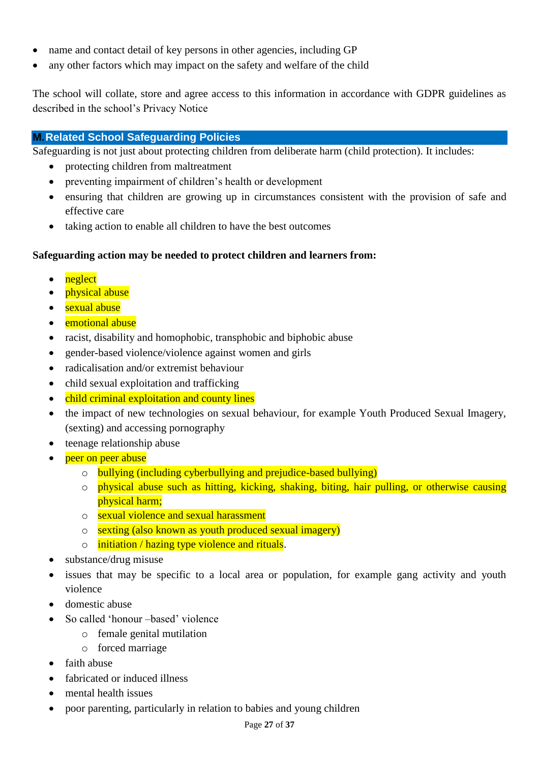- name and contact detail of key persons in other agencies, including GP
- any other factors which may impact on the safety and welfare of the child

The school will collate, store and agree access to this information in accordance with GDPR guidelines as described in the school's Privacy Notice

## **M.Related School Safeguarding Policies**

Safeguarding is not just about protecting children from deliberate harm (child protection). It includes:

- protecting children from maltreatment
- preventing impairment of children's health or development
- ensuring that children are growing up in circumstances consistent with the provision of safe and effective care
- taking action to enable all children to have the best outcomes

#### **Safeguarding action may be needed to protect children and learners from:**

- neglect
- physical abuse
- sexual abuse
- emotional abuse
- racist, disability and homophobic, transphobic and biphobic abuse
- gender-based violence/violence against women and girls
- radicalisation and/or extremist behaviour
- child sexual exploitation and trafficking
- child criminal exploitation and county lines
- the impact of new technologies on sexual behaviour, for example Youth Produced Sexual Imagery, (sexting) and accessing pornography
- teenage relationship abuse
- peer on peer abuse
	- o bullying (including cyberbullying and prejudice-based bullying)
	- o physical abuse such as hitting, kicking, shaking, biting, hair pulling, or otherwise causing physical harm;
	- o sexual violence and sexual harassment
	- o sexting (also known as youth produced sexual imagery)
	- o initiation / hazing type violence and rituals.
- substance/drug misuse
- issues that may be specific to a local area or population, for example gang activity and youth violence
- domestic abuse
- So called 'honour –based' violence
	- o female genital mutilation
	- o forced marriage
- faith abuse
- fabricated or induced illness
- mental health issues
- poor parenting, particularly in relation to babies and young children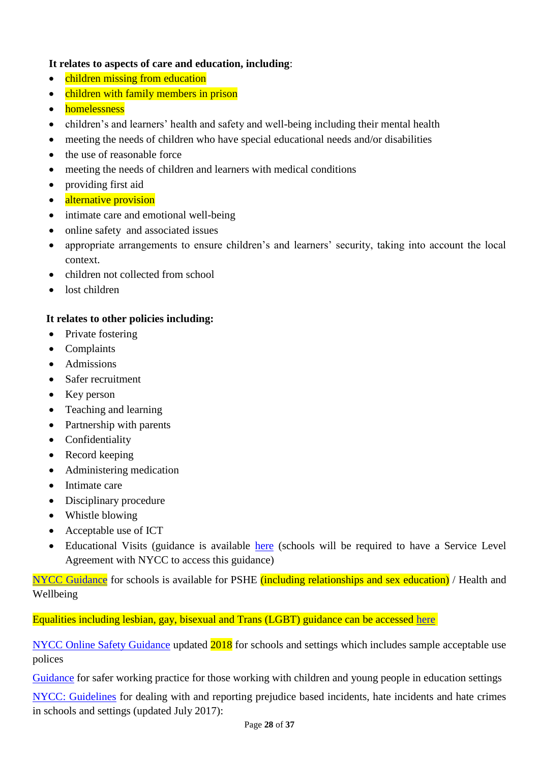# **It relates to aspects of care and education, including**:

- children missing from education
- children with family members in prison
- homelessness
- children's and learners' health and safety and well-being including their mental health
- meeting the needs of children who have special educational needs and/or disabilities
- the use of reasonable force
- meeting the needs of children and learners with medical conditions
- providing first aid
- alternative provision
- intimate care and emotional well-being
- online safety and associated issues
- appropriate arrangements to ensure children's and learners' security, taking into account the local context.
- children not collected from school
- lost children

## **It relates to other policies including:**

- Private fostering
- Complaints
- Admissions
- Safer recruitment
- Key person
- Teaching and learning
- Partnership with parents
- Confidentiality
- Record keeping
- Administering medication
- Intimate care
- Disciplinary procedure
- Whistle blowing
- Acceptable use of ICT
- Educational Visits (guidance is available [here](http://visits.northyorks.gov.uk/) (schools will be required to have a Service Level Agreement with NYCC to access this guidance)

[NYCC Guidance](http://cyps.northyorks.gov.uk/health-wellbeing-pshe) for schools is available for PSHE *(including relationships and sex education)* / Health and Wellbeing

Equalities including lesbian, gay, bisexual and Trans (LGBT) guidance can be accessed [here](http://cyps.northyorks.gov.uk/equalities-and-diversity)

[NYCC Online Safety Guidance](http://cyps.northyorks.gov.uk/online-safety) updated 2018 for schools and settings which includes sample acceptable use polices

[Guidance](http://cyps.northyorks.gov.uk/child-protection-and-safeguarding-schools) for safer working practice for those working with children and young people in education settings

[NYCC: Guidelines](http://cyps.northyorks.gov.uk/hate-incidents) for dealing with and reporting prejudice based incidents, hate incidents and hate crimes in schools and settings (updated July 2017):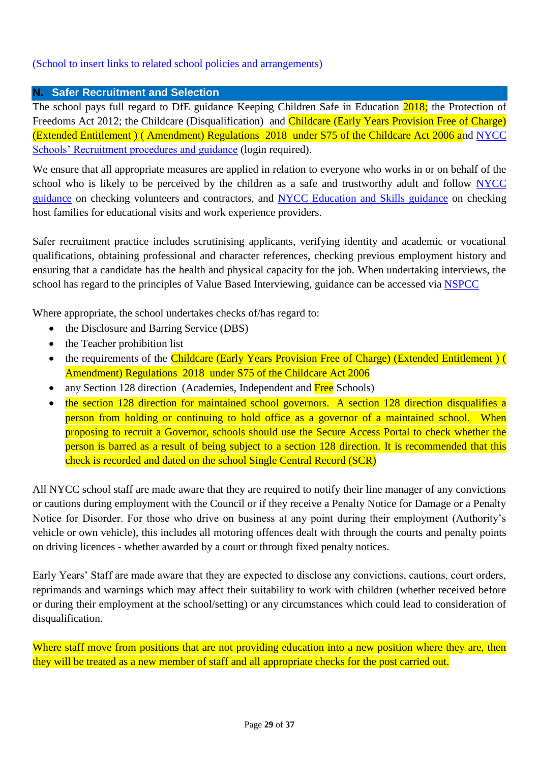## (School to insert links to related school policies and arrangements)

#### **N. Safer Recruitment and Selection**

The school pays full regard to DfE guidance Keeping Children Safe in Education 2018; the Protection of Freedoms Act 2012; the Childcare (Disqualification) and Childcare (Early Years Provision Free of Charge) (Extended Entitlement ) ( Amendment) Regulations 2018 under S75 of the Childcare Act 2006 and [NYCC](http://cyps.northyorks.gov.uk/hr-recruitment)  [Schools' Recruitment procedures and guidance](http://cyps.northyorks.gov.uk/hr-recruitment) (login required).

We ensure that all appropriate measures are applied in relation to everyone who works in or on behalf of the school who is likely to be perceived by the children as a safe and trustworthy adult and follow [NYCC](http://cyps.northyorks.gov.uk/hr-safeguarding)  [guidance](http://cyps.northyorks.gov.uk/hr-safeguarding) on checking volunteers and contractors, and [NYCC Education and Skills guidance](http://visits.northyorks.gov.uk/) on checking host families for educational visits and work experience providers.

Safer recruitment practice includes scrutinising applicants, verifying identity and academic or vocational qualifications, obtaining professional and character references, checking previous employment history and ensuring that a candidate has the health and physical capacity for the job. When undertaking interviews, the school has regard to the principles of Value Based Interviewing, guidance can be accessed via [NSPCC](http://www.nspcc.org.uk/)

Where appropriate, the school undertakes checks of/has regard to:

- the Disclosure and Barring Service (DBS)
- the Teacher prohibition list
- the requirements of the Childcare (Early Years Provision Free of Charge) (Extended Entitlement) ( Amendment) Regulations 2018 under S75 of the Childcare Act 2006
- any Section 128 direction (Academies, Independent and Free Schools)
- the section 128 direction for maintained school governors. A section 128 direction disqualifies a person from holding or continuing to hold office as a governor of a maintained school. When proposing to recruit a Governor, schools should use the Secure Access Portal to check whether the person is barred as a result of being subject to a section 128 direction. It is recommended that this check is recorded and dated on the school Single Central Record (SCR)

All NYCC school staff are made aware that they are required to notify their line manager of any convictions or cautions during employment with the Council or if they receive a Penalty Notice for Damage or a Penalty Notice for Disorder. For those who drive on business at any point during their employment (Authority's vehicle or own vehicle), this includes all motoring offences dealt with through the courts and penalty points on driving licences - whether awarded by a court or through fixed penalty notices.

Early Years' Staff are made aware that they are expected to disclose any convictions, cautions, court orders, reprimands and warnings which may affect their suitability to work with children (whether received before or during their employment at the school/setting) or any circumstances which could lead to consideration of disqualification.

Where staff move from positions that are not providing education into a new position where they are, then they will be treated as a new member of staff and all appropriate checks for the post carried out.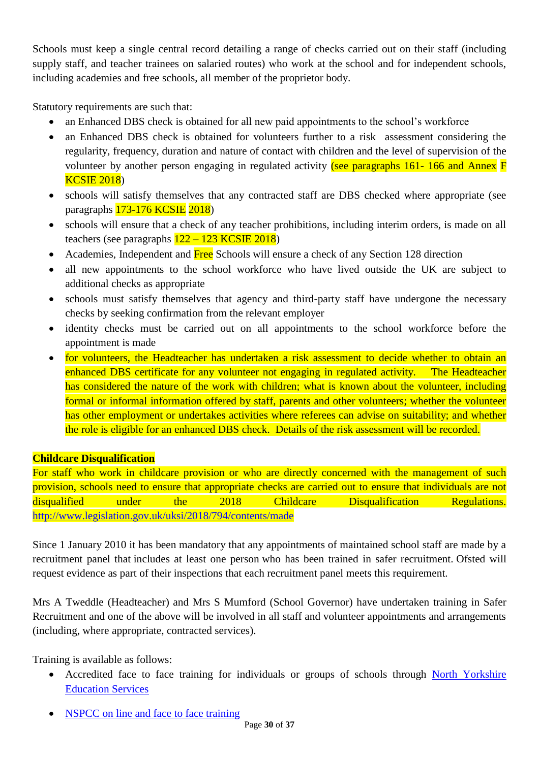Schools must keep a single central record detailing a range of checks carried out on their staff (including supply staff, and teacher trainees on salaried routes) who work at the school and for independent schools, including academies and free schools, all member of the proprietor body.

Statutory requirements are such that:

- an Enhanced DBS check is obtained for all new paid appointments to the school's workforce
- an Enhanced DBS check is obtained for volunteers further to a risk assessment considering the regularity, frequency, duration and nature of contact with children and the level of supervision of the volunteer by another person engaging in regulated activity (see paragraphs 161-166 and Annex F KCSIE 2018)
- schools will satisfy themselves that any contracted staff are DBS checked where appropriate (see paragraphs 173-176 KCSIE 2018)
- schools will ensure that a check of any teacher prohibitions, including interim orders, is made on all teachers (see paragraphs  $122 - 123$  KCSIE 2018)
- Academies, Independent and Free Schools will ensure a check of any Section 128 direction
- all new appointments to the school workforce who have lived outside the UK are subject to additional checks as appropriate
- schools must satisfy themselves that agency and third-party staff have undergone the necessary checks by seeking confirmation from the relevant employer
- identity checks must be carried out on all appointments to the school workforce before the appointment is made
- for volunteers, the Headteacher has undertaken a risk assessment to decide whether to obtain an enhanced DBS certificate for any volunteer not engaging in regulated activity. The Headteacher has considered the nature of the work with children; what is known about the volunteer, including formal or informal information offered by staff, parents and other volunteers; whether the volunteer has other employment or undertakes activities where referees can advise on suitability; and whether the role is eligible for an enhanced DBS check. Details of the risk assessment will be recorded.

# **Childcare Disqualification**

For staff who work in childcare provision or who are directly concerned with the management of such provision, schools need to ensure that appropriate checks are carried out to ensure that individuals are not disqualified under the 2018 Childcare Disqualification Regulations. <http://www.legislation.gov.uk/uksi/2018/794/contents/made>

Since 1 January 2010 it has been mandatory that any appointments of maintained school staff are made by a recruitment panel that includes at least one person who has been trained in safer recruitment. Ofsted will request evidence as part of their inspections that each recruitment panel meets this requirement.

Mrs A Tweddle (Headteacher) and Mrs S Mumford (School Governor) have undertaken training in Safer Recruitment and one of the above will be involved in all staff and volunteer appointments and arrangements (including, where appropriate, contracted services).

Training is available as follows:

- Accredited face to face training for individuals or groups of schools through North Yorkshire [Education Services](http://nyestraining.co.uk/)
- [NSPCC on line and face to face training](https://www.nspcc.org.uk/what-you-can-do/get-expert-training/safer-recruitment-training/)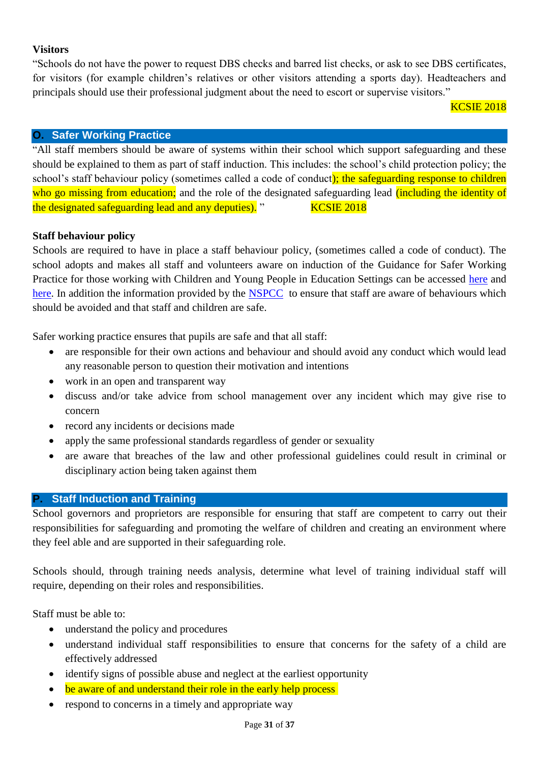## **Visitors**

"Schools do not have the power to request DBS checks and barred list checks, or ask to see DBS certificates, for visitors (for example children's relatives or other visitors attending a sports day). Headteachers and principals should use their professional judgment about the need to escort or supervise visitors."

KCSIE 2018

## **O. Safer Working Practice**

"All staff members should be aware of systems within their school which support safeguarding and these should be explained to them as part of staff induction. This includes: the school's child protection policy; the school's staff behaviour policy (sometimes called a code of conduct); the safeguarding response to children who go missing from education; and the role of the designated safeguarding lead *(including the identity of* the designated safeguarding lead and any deputies). " KCSIE 2018

## **Staff behaviour policy**

Schools are required to have in place a staff behaviour policy, (sometimes called a code of conduct). The school adopts and makes all staff and volunteers aware on induction of the Guidance for Safer Working Practice for those working with Children and Young People in Education Settings can be accessed [here](http://cyps.northyorks.gov.uk/child-protection-and-safeguarding-schools) and here. In addition the information provided by the [NSPCC](http://www.nspcc.org.uk/preventing-abuse/child-abuse-and-neglect/grooming/) to ensure that staff are aware of behaviours which should be avoided and that staff and children are safe.

Safer working practice ensures that pupils are safe and that all staff:

- are responsible for their own actions and behaviour and should avoid any conduct which would lead any reasonable person to question their motivation and intentions
- work in an open and transparent way
- discuss and/or take advice from school management over any incident which may give rise to concern
- record any incidents or decisions made
- apply the same professional standards regardless of gender or sexuality
- are aware that breaches of the law and other professional guidelines could result in criminal or disciplinary action being taken against them

#### **P. Staff Induction and Training**

School governors and proprietors are responsible for ensuring that staff are competent to carry out their responsibilities for safeguarding and promoting the welfare of children and creating an environment where they feel able and are supported in their safeguarding role.

Schools should, through training needs analysis, determine what level of training individual staff will require, depending on their roles and responsibilities.

Staff must be able to:

- understand the policy and procedures
- understand individual staff responsibilities to ensure that concerns for the safety of a child are effectively addressed
- identify signs of possible abuse and neglect at the earliest opportunity
- be aware of and understand their role in the early help process
- respond to concerns in a timely and appropriate way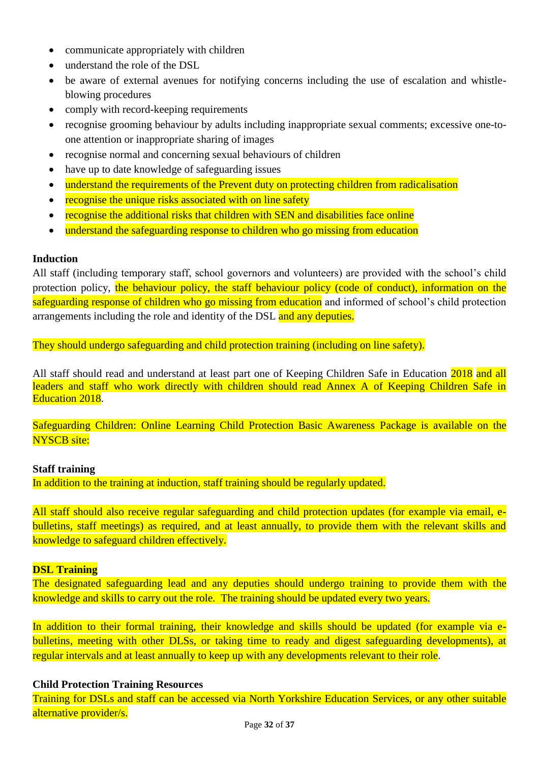- communicate appropriately with children
- understand the role of the DSL
- be aware of external avenues for notifying concerns including the use of escalation and whistleblowing procedures
- comply with record-keeping requirements
- recognise grooming behaviour by adults including inappropriate sexual comments; excessive one-toone attention or inappropriate sharing of images
- recognise normal and concerning sexual behaviours of children
- have up to date knowledge of safeguarding issues
- understand the requirements of the Prevent duty on protecting children from radicalisation
- recognise the unique risks associated with on line safety
- recognise the additional risks that children with SEN and disabilities face online
- understand the safeguarding response to children who go missing from education

#### **Induction**

All staff (including temporary staff, school governors and volunteers) are provided with the school's child protection policy, the behaviour policy, the staff behaviour policy (code of conduct), information on the safeguarding response of children who go missing from education and informed of school's child protection arrangements including the role and identity of the DSL and any deputies.

They should undergo safeguarding and child protection training (including on line safety).

All staff should read and understand at least part one of Keeping Children Safe in Education 2018 and all leaders and staff who work directly with children should read Annex A of Keeping Children Safe in Education 2018.

Safeguarding Children: Online Learning Child Protection Basic Awareness Package is available on the NYSCB site:

#### **Staff training**

In addition to the training at induction, staff training should be regularly updated.

All staff should also receive regular safeguarding and child protection updates (for example via email, ebulletins, staff meetings) as required, and at least annually, to provide them with the relevant skills and knowledge to safeguard children effectively.

#### **DSL Training**

The designated safeguarding lead and any deputies should undergo training to provide them with the knowledge and skills to carry out the role. The training should be updated every two years.

In addition to their formal training, their knowledge and skills should be updated (for example via ebulletins, meeting with other DLSs, or taking time to ready and digest safeguarding developments), at regular intervals and at least annually to keep up with any developments relevant to their role.

#### **Child Protection Training Resources**

Training for DSLs and staff can be accessed via North Yorkshire Education Services, or any other suitable alternative provider/s.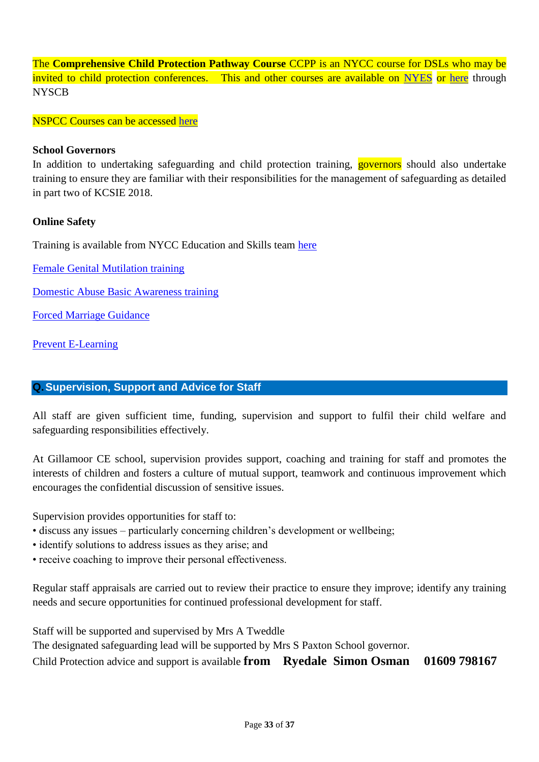The **Comprehensive Child Protection Pathway Course** CCPP is an NYCC course for DSLs who may be invited to child protection conferences. This and other courses are available on [NYES](http://www.nyestraining.co.uk/) or [here](http://www.safeguardingchildren.co.uk/learning-improvement/training-courses) through **NYSCB** 

NSPCC Courses can be accessed [here](https://learning.nspcc.org.uk/training/schools/)

#### **School Governors**

In addition to undertaking safeguarding and child protection training, **governors** should also undertake training to ensure they are familiar with their responsibilities for the management of safeguarding as detailed in part two of KCSIE 2018.

#### **Online Safety**

Training is available from NYCC Education and Skills team [here](http://nyeducationservices.co.uk/)

[Female Genital Mutilation training](http://www.fgmelearning.co.uk/)

[Domestic Abuse Basic Awareness training](https://courses.idas.org.uk/)

[Forced Marriage Guidance](https://www.gov.uk/forced-marriage) 

[Prevent E-Learning](https://www.elearning.prevent.homeoffice.gov.uk/)

#### **Q.Supervision, Support and Advice for Staff**

All staff are given sufficient time, funding, supervision and support to fulfil their child welfare and safeguarding responsibilities effectively.

At Gillamoor CE school, supervision provides support, coaching and training for staff and promotes the interests of children and fosters a culture of mutual support, teamwork and continuous improvement which encourages the confidential discussion of sensitive issues.

Supervision provides opportunities for staff to:

- discuss any issues particularly concerning children's development or wellbeing;
- identify solutions to address issues as they arise; and
- receive coaching to improve their personal effectiveness.

Regular staff appraisals are carried out to review their practice to ensure they improve; identify any training needs and secure opportunities for continued professional development for staff.

Staff will be supported and supervised by Mrs A Tweddle The designated safeguarding lead will be supported by Mrs S Paxton School governor.

Child Protection advice and support is available **from Ryedale Simon Osman 01609 798167**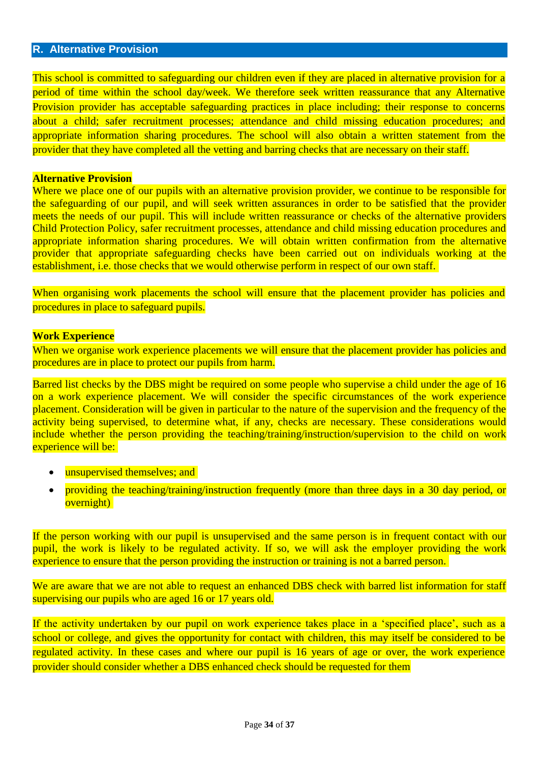#### **R. Alternative Provision**

This school is committed to safeguarding our children even if they are placed in alternative provision for a period of time within the school day/week. We therefore seek written reassurance that any Alternative Provision provider has acceptable safeguarding practices in place including; their response to concerns about a child; safer recruitment processes; attendance and child missing education procedures; and appropriate information sharing procedures. The school will also obtain a written statement from the provider that they have completed all the vetting and barring checks that are necessary on their staff.

#### **Alternative Provision**

Where we place one of our pupils with an alternative provision provider, we continue to be responsible for the safeguarding of our pupil, and will seek written assurances in order to be satisfied that the provider meets the needs of our pupil. This will include written reassurance or checks of the alternative providers Child Protection Policy, safer recruitment processes, attendance and child missing education procedures and appropriate information sharing procedures. We will obtain written confirmation from the alternative provider that appropriate safeguarding checks have been carried out on individuals working at the establishment, i.e. those checks that we would otherwise perform in respect of our own staff.

When organising work placements the school will ensure that the placement provider has policies and procedures in place to safeguard pupils.

#### **Work Experience**

When we organise work experience placements we will ensure that the placement provider has policies and procedures are in place to protect our pupils from harm.

Barred list checks by the DBS might be required on some people who supervise a child under the age of 16 on a work experience placement. We will consider the specific circumstances of the work experience placement. Consideration will be given in particular to the nature of the supervision and the frequency of the activity being supervised, to determine what, if any, checks are necessary. These considerations would include whether the person providing the teaching/training/instruction/supervision to the child on work experience will be:

- unsupervised themselves; and
- providing the teaching/training/instruction frequently (more than three days in a 30 day period, or overnight)

If the person working with our pupil is unsupervised and the same person is in frequent contact with our pupil, the work is likely to be regulated activity. If so, we will ask the employer providing the work experience to ensure that the person providing the instruction or training is not a barred person.

We are aware that we are not able to request an enhanced DBS check with barred list information for staff supervising our pupils who are aged 16 or 17 years old.

If the activity undertaken by our pupil on work experience takes place in a 'specified place', such as a school or college, and gives the opportunity for contact with children, this may itself be considered to be regulated activity. In these cases and where our pupil is 16 years of age or over, the work experience provider should consider whether a DBS enhanced check should be requested for them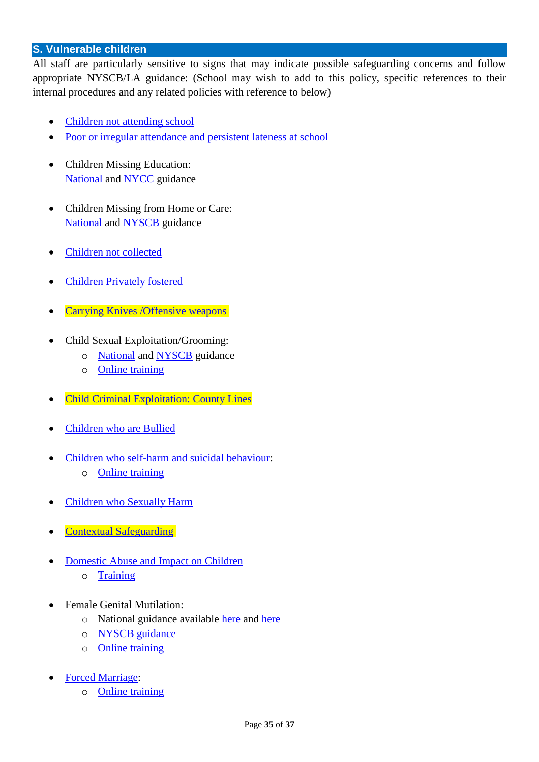#### **S. Vulnerable children**

All staff are particularly sensitive to signs that may indicate possible safeguarding concerns and follow appropriate NYSCB/LA guidance: (School may wish to add to this policy, specific references to their internal procedures and any related policies with reference to below)

- [Children not attending school](http://cyps.northyorks.gov.uk/elective-home-education)
- [Poor or irregular attendance and persistent lateness at school](http://cyps.northyorks.gov.uk/school-attendance)
- Children Missing Education: [National](https://www.gov.uk/government/publications/children-missing-education) and [NYCC](http://cyps.northyorks.gov.uk/children-missing-education) guidance
- Children Missing from Home or Care: [National](https://www.gov.uk/government/publications/children-who-run-away-or-go-missing-from-home-or-care) and [NYSCB](http://www.safeguardingchildren.co.uk/professionals/missing%20/) guidance
- [Children not collected](http://cyps.northyorks.gov.uk/child-protection-and-safeguarding-schools)
- [Children Privately fostered](http://www.safeguardingchildren.co.uk/professionals/private-fostering)
- Carrying Knives / Offensive weapons
- Child Sexual Exploitation/Grooming:
	- o [National](https://www.gov.uk/government/publications/child-sexual-exploitation-definition-and-guide-for-practitioners) and [NYSCB](http://www.safeguardingchildren.co.uk/professionals/practice-guidance) guidance
	- o [Online training](http://www.safeguardingchildren.co.uk/learning-improvement/training-courses)
- [Child Criminal Exploitation: County Lines](https://www.gov.uk/government/publications/criminal-exploitation-of-children-and-vulnerable-adults-county-lines)
- [Children who are Bullied](https://www.gov.uk/government/publications/preventing-and-tackling-bullying)
- [Children who self-harm and suicidal behaviour:](http://www.safeguardingchildren.co.uk/pink-book) o [Online training](http://www.safeguardingchildren.co.uk/learning-improvement/training-courses)
- [Children who Sexually Harm](http://www.safeguardingchildren.co.uk/professionals/YPWSH)
- [Contextual Safeguarding](https://contextualsafeguarding.org.uk/about/what-is-contextual-safeguarding)
- [Domestic Abuse and Impact on Children](http://www.safeguardingchildren.co.uk/professionals/domestic-abuse) o [Training](http://www.safeguardingchildren.co.uk/learning-improvement/training-courses)
- Female Genital Mutilation:
	- o National guidance available [here](https://www.gov.uk/government/publications/multi-agency-statutory-guidance-on-female-genital-mutilation) and [here](https://www.gov.uk/government/publications/multi-agency-statutory-guidance-on-female-genital-mutilation)
	- o [NYSCB guidance](http://www.safeguardingchildren.co.uk/professionals/fgm)
	- o [Online training](http://www.safeguardingchildren.co.uk/learning-improvement/training-courses)
- [Forced Marriage:](https://www.gov.uk/forced-marriage)
	- o [Online training](http://www.safeguardingchildren.co.uk/learning-improvement/training-courses)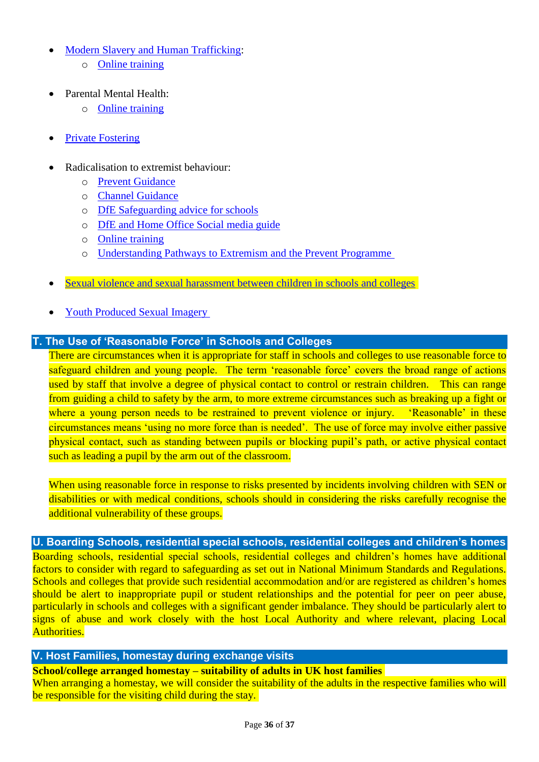- [Modern Slavery and Human Trafficking:](http://www.safeguardingchildren.co.uk/admin/uploads/resources/nyp-modern-slavery-toolkit.pdf)
	- o [Online training](http://www.safeguardingchildren.co.uk/learning-improvement/training-courses)
- Parental Mental Health:
	- o [Online training](http://www.safeguardingchildren.co.uk/learning-improvement/training-courses)
- [Private Fostering](http://www.safeguardingchildren.co.uk/professionals/private-fostering)
- Radicalisation to extremist behaviour:
	- o [Prevent Guidance](https://www.gov.uk/government/publications/protecting-children-from-radicalisation-the-prevent-duty)
	- o [Channel Guidance](https://www.gov.uk/government/uploads/system/uploads/attachment_data/file/425189/Channel_Duty_Guidance_April_2015.pdf)
	- o [DfE Safeguarding advice for schools](https://www.gov.uk/government/news/new-safeguarding-advice-for-schools-and-childcare-providers)
	- o [DfE and Home Office Social media guide](https://www.gov.uk/government/publications/the-use-of-social-media-for-online-radicalisation)
	- o [Online training](https://www.elearning.prevent.homeoffice.gov.uk/)
	- o [Understanding Pathways to Extremism and the Prevent Programme](https://nyscb.safeguardingchildrenea.co.uk/)
- [Sexual violence and sexual harassment between children in schools and colleges](https://www.gov.uk/government/publications/sexual-violence-and-sexual-harassment-between-children-in-schools-and-colleges)
- Youth Produced Sexual Imagery

#### **T. The Use of 'Reasonable Force' in Schools and Colleges**

There are circumstances when it is appropriate for staff in schools and colleges to use reasonable force to safeguard children and young people. The term 'reasonable force' covers the broad range of actions used by staff that involve a degree of physical contact to control or restrain children. This can range from guiding a child to safety by the arm, to more extreme circumstances such as breaking up a fight or where a young person needs to be restrained to prevent violence or injury. 'Reasonable' in these circumstances means 'using no more force than is needed'. The use of force may involve either passive physical contact, such as standing between pupils or blocking pupil's path, or active physical contact such as leading a pupil by the arm out of the classroom.

When using reasonable force in response to risks presented by incidents involving children with SEN or disabilities or with medical conditions, schools should in considering the risks carefully recognise the additional vulnerability of these groups.

#### **U. Boarding Schools, residential special schools, residential colleges and children's homes**

Boarding schools, residential special schools, residential colleges and children's homes have additional factors to consider with regard to safeguarding as set out in National Minimum Standards and Regulations. Schools and colleges that provide such residential accommodation and/or are registered as children's homes should be alert to inappropriate pupil or student relationships and the potential for peer on peer abuse, particularly in schools and colleges with a significant gender imbalance. They should be particularly alert to signs of abuse and work closely with the host Local Authority and where relevant, placing Local Authorities.

#### **V. Host Families, homestay during exchange visits**

**School/college arranged homestay – suitability of adults in UK host families**  When arranging a homestay, we will consider the suitability of the adults in the respective families who will be responsible for the visiting child during the stay.